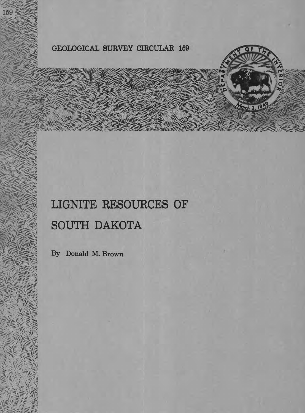



# LIGNITE RESOURCES OF SOUTH DAKOTA

By Donald M. Brown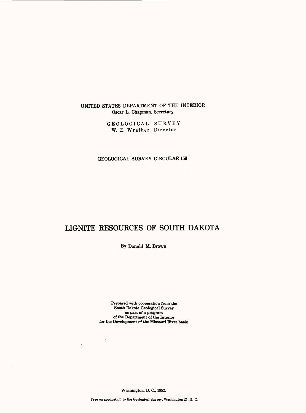### UNITED STATES DEPARTMENT OF THE INTERIOR Oscar L. Chapman, Secretary

GEOLOGICAL SURVEY W. E. Wrather. Director

#### GEOLOGICAL SURVEY CIRCULAR 159

 $\sim 10^{-10}$ 

# LIGNITE RESOURCES OF SOUTH DAKOTA

**By Donald M. Brown**

**Prepared with cooperation from the South Dakota Geological Survey as part of a program of the Department of the Interior for the Development of the Missouri River basin**

 $\sim$   $\sim$ 

 $\overline{a}$ 

**Washington, D. C., 1952.** 

**Free on application to the Geological Survey. Washington 25, D. C.**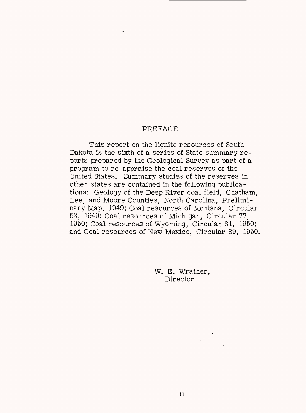# PREFACE

 $\mathcal{L}^{\mathcal{L}}$ 

This report on the lignite resources of South Dakota is the sixth of a series of State summary reports prepared by the Geological Survey as part of a program to re-appraise the coal reserves of the United States. Summary studies of the reserves in other states are contained in the following publications: Geology of the Deep River coal field, Chatham, Lee, and Moore Counties, North Carolina, Preliminary Map, 1949; Coal resources of Montana, Circular 53, 1949; Coal resources of Michigan, Circular 77, 1950; Coal resources of Wyoming, Circular 81, 1950; and Coal resources of New Mexico, Circular 89, 1950.

> W. E. Wrather, Director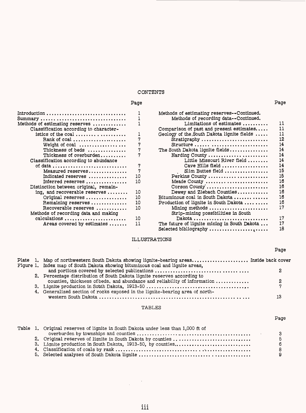# CONTENTS

#### Page

|                                                       | 1              |
|-------------------------------------------------------|----------------|
| Summary                                               | $\overline{1}$ |
| Methods of estimating reserves $\dots\dots\dots\dots$ |                |
| Classification according to character-                |                |
|                                                       |                |
| istics of the coal                                    | 1              |
| Rank of coal                                          |                |
| Weight of coal                                        | r<br>T         |
| Thickness of beds                                     |                |
| Thickness of overburden                               | 7              |
| Classification according to abundance                 |                |
|                                                       | 7              |
| Measured reserves                                     | 7              |
|                                                       |                |
| Indicated reserves                                    | 10             |
| Inferred reserves                                     | 10             |
| Distinction between original, remain-                 |                |
| ing, and recoverable reserves                         | 10             |
| Original reserves                                     | 10             |
| Remaining reserves                                    | 10             |
| Recoverable reserves                                  | 10             |
|                                                       |                |
| Methods of recording data and making                  |                |
| calculations                                          | 10             |
| Areas covered by estimates                            | 11             |
|                                                       |                |

| 1<br>$\overline{1}$ | Methods of estimating reserves--Continued.<br>Methods of recording data--Continued.<br>Limitations of estimates $\dots\dots\dots$ | 11<br>11 |
|---------------------|-----------------------------------------------------------------------------------------------------------------------------------|----------|
|                     | Comparison of past and present estimates                                                                                          |          |
| 1                   | Geology of the South Dakota lignite fields                                                                                        | 11       |
| 7                   | $Stratingraphy \ldots \ldots \ldots \ldots \ldots \ldots \ldots \ldots$                                                           | 12       |
| 7                   | Structure                                                                                                                         | 14       |
| 7                   | The South Dakota lignite fields                                                                                                   | 14       |
| 7                   |                                                                                                                                   | 14       |
|                     | Harding County                                                                                                                    |          |
|                     | Little Missouri River field $\ldots \ldots$                                                                                       | 14       |
| 7                   | Cave Hills field                                                                                                                  | 14       |
| 7                   | $\operatorname{Slim}$ Buttes field $\ldots\ldots\ldots\ldots\ldots$                                                               | 15       |
| 10                  | Perkins County                                                                                                                    | 15       |
| 10                  | Meade County                                                                                                                      | 16       |
|                     |                                                                                                                                   | 16       |
|                     | Corson County                                                                                                                     |          |
| 10                  | Dewey and Ziebach Counties                                                                                                        | 16       |
| 10                  | Bituminous coal in South Dakota                                                                                                   | 16       |
| 10                  | $Production of lighte in South Dakota  $                                                                                          | 16       |
| 10                  | Mining methods $\ldots \ldots \ldots \ldots \ldots \ldots \ldots$                                                                 | 17       |
|                     | Strip-mining possibilities in South                                                                                               |          |
|                     |                                                                                                                                   | 17       |
| 10                  |                                                                                                                                   |          |
| 11                  | The future of lignite mining in South Dakota                                                                                      | 17       |
|                     | Selected bibliography                                                                                                             | 18       |
|                     |                                                                                                                                   |          |

 $\bar{\mathcal{L}}$ 

# ILLUSTRATIONS

 $\bar{z}$ 

# Page

Page

|  | Plate 1. Map of northwestern South Dakota showing lignite-bearing areas Inside back cover<br>Figure 1. Index map of South Dakota showing bituminous coal and lignite areas, |    |
|--|-----------------------------------------------------------------------------------------------------------------------------------------------------------------------------|----|
|  | and portions covered by selected publications                                                                                                                               |    |
|  | 2. Percentage distribution of South Dakota lignite reserves according to                                                                                                    |    |
|  | counties, thickness of beds, and abundance and reliability of information                                                                                                   |    |
|  |                                                                                                                                                                             | 77 |
|  | 4. Generalized section of rocks exposed in the lignite-bearing area of north-                                                                                               | 13 |

# TABLES

# Page

|  | Table 1. Original reserves of lignite in South Dakota under less than 1,000 ft of |              |
|--|-----------------------------------------------------------------------------------|--------------|
|  |                                                                                   | $\mathbf{3}$ |
|  | 2. Original reserves of lignite in South Dakota by counties                       | -5.          |
|  | 3. Lignite production in South Dakota, 1913-50, by counties                       | -6           |
|  |                                                                                   | 8            |
|  |                                                                                   | -9.          |

 $\frac{1}{2} \frac{1}{\sqrt{2}} \left( \frac{1}{2} \frac{1}{2} \right) \frac{1}{2} \left( \frac{1}{2} \right)$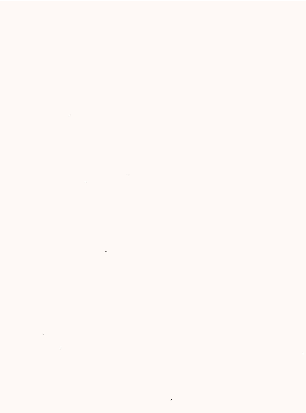$\label{eq:2.1} \mathcal{L}(\mathcal{L}^{\mathcal{L}}_{\mathcal{L}}(\mathcal{L}^{\mathcal{L}}_{\mathcal{L}})) = \mathcal{L}(\mathcal{L}^{\mathcal{L}}_{\mathcal{L}}(\mathcal{L}^{\mathcal{L}}_{\mathcal{L}})) = \mathcal{L}(\mathcal{L}^{\mathcal{L}}_{\mathcal{L}}(\mathcal{L}^{\mathcal{L}}_{\mathcal{L}}))$  $\label{eq:2.1} \frac{1}{\sqrt{2}}\left(\frac{1}{\sqrt{2}}\right)^{2} \left(\frac{1}{\sqrt{2}}\right)^{2} \left(\frac{1}{\sqrt{2}}\right)^{2} \left(\frac{1}{\sqrt{2}}\right)^{2} \left(\frac{1}{\sqrt{2}}\right)^{2} \left(\frac{1}{\sqrt{2}}\right)^{2} \left(\frac{1}{\sqrt{2}}\right)^{2} \left(\frac{1}{\sqrt{2}}\right)^{2} \left(\frac{1}{\sqrt{2}}\right)^{2} \left(\frac{1}{\sqrt{2}}\right)^{2} \left(\frac{1}{\sqrt{2}}\right)^{2} \left(\$  $\label{eq:2.1} \mathcal{L}(\mathcal{L}^{\text{max}}_{\mathcal{L}}(\mathcal{L}^{\text{max}}_{\mathcal{L}})) \leq \mathcal{L}(\mathcal{L}^{\text{max}}_{\mathcal{L}}(\mathcal{L}^{\text{max}}_{\mathcal{L}}))$ 

 $\mathcal{L}^{\text{max}}_{\text{max}}$  , where  $\mathcal{L}^{\text{max}}_{\text{max}}$ 

 $\mathcal{L}(\mathcal{L}^{\text{max}}_{\mathcal{L}}(\mathcal{L}^{\text{max}}_{\mathcal{L}}))$ 

 $\mathbb{Z}^2$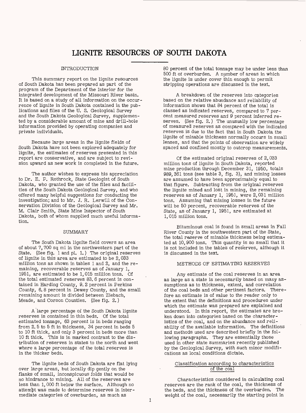# **LIGNITE RESOURCES OF SOUTH DAKOTA**

#### INTRODUCTION

This summary report on the lignite resources of South Dakota has been prepared as part of the program of the Department of the Interior for the integrated development of the Missouri River basin. It is based on a study of all information on the occurrence of lignite in South Dakota contained in the publications and files of the U. S. Geological Survey and the South Dakota Geological Survey, supplemented by a considerable amount of mine and drill-hole information provided by operating companies and private individuals.

Because large areas in the lignite fields of South Dakota have not been explored adequately for lignite, the estimates of reserves presented in this report are conservative, and are subject to revision upward as new work is completed in the future.

The author wishes to express his appreciation to Dr. E. F. Rothrock, State Geologist of South Dakota, who granted the use of the files and facilities of the South Dakota Geological Survey, and who offered many helpful suggestions for conducting the investigation; and to Mr. J. R. Lerwill of the Conservation Division of the Geological Survey and Mr. M. Glair Smith, State Mine Inspector of South Dakota, both of whom supplied much useful information.

#### SUMMARY

The South Dakota lignite field covers an area of about 7, 700 sq mi in the northwestern part of the State. (See fig. 1 and pi. 1.) The original reserves of lignite in this area are estimated to be 2,033 million tons as shown in tables 1 and 2, and the remaining, recoverable reserves as of January 1, 1951, are estimated to be 1, 015 million tons. Of the total estimated reserves 83. 6 percent is contained in Harding County, 9. 2 percent in Ferkins County, 6. 8 percent in Dewey County, and the small remaining amount is divided between Ziebach, Meade, and Corson Counties. (See fig. 2.)

A large percentage of the South Dakota lignite reserves is contained in-thin beds. Of the total estimated tonnage, 63 percent is in beds ranging from 2. 5 to 5 ft in thickness, 34 percent in beds 5 to 10 ft thick, and only 3 percent in beds more than 10 ft thick. This is in marked contrast to the distribution of reserves in states to the north and west where a large percentage of the total reserves is in the thicker beds.

The lignite beds of South Dakota are flat lying over large areas, but locally dip gently on the flanks of small, inconspicuous folds that would be no hindrance to mining. All of the reserves are less than 1, 000 ft below the surface. Although no attempt was made to determine reserves in intermediate categories of overburden, as much as

80 percent of the total tonnage may be under less than 500 ft of overburden. A number of areas in which the lignite is under cover thin enough to permit stripping operations are discussed in the text.

A breakdown of the reserves into categories based on the relative abundance and reliability of information shows that 84 percent of the total is classed as indicated reserves, compared to 7 percent measured reserves and 9 percent inferred reserves. (See fig. 2.) The unusually low percentage of measured reserves as compared with the indicated reserves is due to the fact that in South Dakota the lignite of minable thickness normally occurs in small lenses, and that the points of observation are widely spaced and confined mostly to outcrop measurements.

Of the estimated original reserves of 2, 033 million tons of lignite in South Dakota, reported mine production through December 31, 1950, totals 989, 361 tons (see table 3, fig. 3), and mining losses are assumed to have been approximately equal to that figure. Subtracting from the original reserves the lignite mined and lost in mining, the remaining reserves as of January 1, 1951, were 2,031 million tons. Assuming that mining losses in the future will be 50 percent, recoverable reserves of the State, as of January 1, 1951, are estimated at 1, 015 million tons.

Bituminous coal is found in small areas in Fall River County in the southwestern part of the State, the total reserve of minable thickness being estimated at 10, 900 tons. This quantity is so small that it is not included in the tables of reserves, although it is discussed in the text.

#### METHODS OF ESTIMATING RESERVES

Any estimate of the coal reserves in an area as large as a state is necessarily based on many assumptions as to thickness, extent, and correlation of the coal beds and other pertinent factors. Therefore an estimate is of value to the reader only to the extent that the definitions and procedures under which the estimate was prepared are explained and understood. In this report, the estimates are broken down into categories based on the characteristics of the coal, and on the abundance and reliability of the available information. The definitions and methods used are described briefly in the following paragraphs. They are essentially those used in other state summaries recently published by the Geological Survey, with such minor modifications as local conditions dictate.

#### Classification according to characteristics of the coal

Characteristics considered in calculating coal reserves are the rank of the coal, the thickness of the beds, and the thickness of the overburden. The weight of the coal, necessarily the starting point in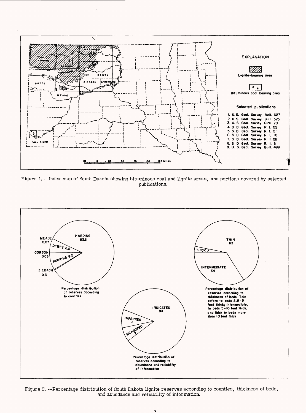

Figure 1. --Index map of South Dakota showing bituminous coal and lignite areas, and portions covered by selected publications.



Figure 2. --Percentage distribution of South Dakota lignite reserves according to counties, thickness of beds, and abundance and reliability of information.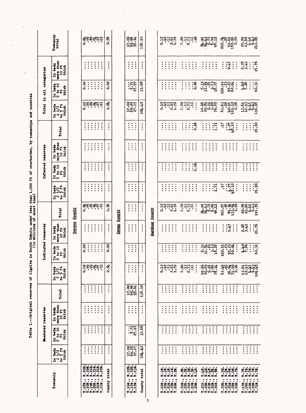Table 1.--Original reserves of lignite in South Dakota under less than 1,000 ft of overburden, by townships and counties

 $\ddot{\phantom{0}}$ 

 $\ddot{\phantom{0}}$ 

|                         | Township<br>total                                                                                                                                                                                                                                                                                                                                                                                                                            |               | देश्यदे <b>ं</b><br>वैश्वदेश                                   | o.56         |                    | <b>2354</b>                                        | 138.10       |                | <b>32325</b><br>23235                                    | encia<br>Subia                                           | ङ्ग्रहें<br>इन्द्रैलं के                                 | .<br>ಇತ್ತ್ರೆ.<br>ಇತ್ತ್ರೆ.<br>215.74<br>.38     | ४७ <del>.३०</del> ५<br>४७. <del>३०</del> ५                                         |
|-------------------------|----------------------------------------------------------------------------------------------------------------------------------------------------------------------------------------------------------------------------------------------------------------------------------------------------------------------------------------------------------------------------------------------------------------------------------------------|---------------|----------------------------------------------------------------|--------------|--------------------|----------------------------------------------------|--------------|----------------|----------------------------------------------------------|----------------------------------------------------------|----------------------------------------------------------|------------------------------------------------|------------------------------------------------------------------------------------|
|                         | In beds<br>more than<br>10 ft<br>thick                                                                                                                                                                                                                                                                                                                                                                                                       |               | $\vdots$<br>$\vdots$<br>$\vdots$<br>$\vdots$<br>$\vdots$       | $\vdots$     |                    | $\vdots$<br>$\ddot{\cdot}$<br>$\vdots$             | $\vdots$     |                | $\vdots$<br>$\vdots$<br>$\vdots$<br>$\ddot{\cdot}$       | $\vdots$<br>$\vdots$<br>$\vdots$<br>$\vdots$<br>$\vdots$ | $\vdots$<br>$\vdots$<br>∷<br>$\vdots$                    | $\ddot{5}$<br>$\vdots$<br>$\vdots$<br>$\vdots$ | $\frac{1}{2}$ $\cdots$ $\frac{1}{2}$ $\cdots$ $\frac{1}{2}$ $\cdots$ $\frac{1}{2}$ |
| Total in all categories | In beds<br>$5$ to 10<br>thick<br>thick                                                                                                                                                                                                                                                                                                                                                                                                       |               | 0.02<br>$\vdots$<br>$\vdots$<br>$\ddot{\cdot}$<br>$\vdots$     | 0.02         |                    | $\ddot{z}$                                         | 33.68        |                | $\vdots$<br>$\vdots$<br>$\vdots$<br>$\vdots$             | $\vdots$<br>$\vdots$<br>$\vdots$<br>ૺૺૺૺ                 | ್ನಲ್ಲೆ <sub>ಇ</sub> ವೆ<br>ಬೆ <u>ಭೆಗು</u> ವ               | ಸ್ಥಾತ<br>ಜಿ<br>152.11<br>$\vdots$              | 98.11<br>$\vdots$ $\vdots$ $\vdots$                                                |
|                         | $\begin{array}{c}\n\text{Ind}\n\text{S} & \text{Ind}\n\text{S} & \text{Ind}\n\text{S} & \text{Ind}\n\text{S} & \text{Ind}\n\text{S} & \text{Ind}\n\text{S} & \text{Ind}\n\text{S} & \text{Ind}\n\text{S} & \text{Ind}\n\text{S} & \text{Ind}\n\text{S} & \text{Ind}\n\text{S} & \text{Ind}\n\text{S} & \text{Ind}\n\text{S} & \text{Ind}\n\text{S} & \text{Ind}\n\text{S} & \text{Ind}\n\text{S} & \text{Ind}\n\text{S} & \text{Ind}\n\text$ |               | $\mathring{\mathbf{S}}$ svies                                  | 味。           |                    | 12,58<br>23,55                                     | 104.42       |                | <b><i>dadas</i></b>                                      | <b>gubi</b><br>Subi                                      | ಕ್ಷಿ<br>ಇಲ್ಲಿ ಇಲ್ಲಿ                                      | <b>090236</b><br>0.09028                       | $\begin{bmatrix} 13.61 \\ -12.33 \\ -13.43 \\ -3.03 \end{bmatrix}$                 |
|                         | Total                                                                                                                                                                                                                                                                                                                                                                                                                                        |               | $\vdots$<br>!!!!<br>$\vdots$                                   | $\vdots$     |                    | $\vdots$<br>$\ddot{\cdot}$<br>$\vdots$             | $\vdots$     |                | $\vdots$<br>$\vdots$<br>$\vdots$<br>$\vdots$<br>$\vdots$ | ိုး<br>$\vdots$<br>$\vdots$<br>$\vdots$                  | $\vdots$<br>$\vdots$<br>$\vdots$<br>$\ddot{5}$           | $\ddot{z}$<br>ŗ.<br>$\vdots$                   | 21.50<br>$\vdots$<br>$\dddot{\mathbf{u}}$                                          |
|                         | more than<br>10 ft<br>thick<br>In beds                                                                                                                                                                                                                                                                                                                                                                                                       |               | <b>!!!!!</b>                                                   | $\vdots$     |                    | $\frac{1}{2}$<br>$\vdots$<br>$\vdots$              | $\vdots$     |                | ∷<br>$\vdots$                                            | $\mathbb{H}$<br>$\vdots$<br>$\vdots$                     | $\vdots$<br>$\vdots$<br>$\vdots$                         | $\ddot{}}$<br>$\vdots$<br>$\vdots$<br>$\vdots$ | <b>!!!!!</b>                                                                       |
| Inferred reserves       | In beds<br>$5$ to 10<br>thick<br>thick                                                                                                                                                                                                                                                                                                                                                                                                       |               | $\mathbb{H}$<br>$\ddot{}}$<br>$\vdots$                         | $\vdots$     |                    | $\mathbb{H}$                                       | $\vdots$     |                | W<br>$\vdots$<br>$\vdots$                                | $\ddot{5}$<br>$\vdots$<br>$\vdots$<br>$\vdots$           | $\vdots$<br>$\vdots$<br>$\vdots$<br>$\vdots$             | $\vdots$<br>$\vdots$<br>$\ddot{}$<br>$\vdots$  | $\overline{::::}$<br>$\vdots$                                                      |
|                         | In beas<br>$\begin{array}{c}\n 2 \text{ } \\  2 \text{ } \\  5 \text{ } \\  \text{that of } \\  \text{that of } \\  \end{array}$                                                                                                                                                                                                                                                                                                             |               | $\vdots$<br>$\vdots$<br>$\vdots$<br>$\vdots$<br>$\ddot{\cdot}$ | $\vdots$     |                    | $\vdots$<br>$\vdots$<br>$\vdots$                   | $\vdots$     |                | $\vdots$<br>$\vdots$<br>$\vdots$<br>$\vdots$             | $\vdots$<br>$\vdots$<br>$\vdots$<br>$\vdots$<br>$\vdots$ | $\vdots$<br>$\vdots$<br>$\vdots$<br>$\ddot{5}$           | $\frac{1}{45.12}$<br>ŗŗ.<br>$\vdots$           | ់: $\ddot{\ddot{\mathbf{3}}}$<br>$\vdots$<br>$\vdots$                              |
|                         | Total                                                                                                                                                                                                                                                                                                                                                                                                                                        | Corson County | देश्यदेश्यु<br>वैश्यदेश्य                                      | 0.56         | County             | $\vdots$<br>$\vdots$<br>$\vdots$                   | $\vdots$     |                |                                                          | <b>gubi</b><br>$\vdots$                                  | र्द्धमुं<br>इन्हें इन                                    | 58338                                          | 82772                                                                              |
| Indicated reserves      | more than<br>10 ft<br>thick<br>In beds                                                                                                                                                                                                                                                                                                                                                                                                       |               | $\vdots$<br>$\vdots$<br>$\vdots$<br>$\vdots$<br>$\vdots$<br>፡  | $\vdots$     | Dewer <sub>s</sub> | $\vdots$<br>$\vdots$                               | $\vdots$     | Harding County | $\vdots$<br>$\vdots$<br>$\vdots$<br>$\vdots$<br>፡        | $\vdots$<br>$\vdots$<br>$\vdots$<br>$\vdots$<br>$\vdots$ | $\vdots$<br>$\vdots$<br>$\vdots$<br>$\vdots$<br>$\vdots$ | $\vdots$<br>$\vdots$<br>ः<br>$\vdots$          | 2.4<br>2.4<br>$\dddot{a}$                                                          |
|                         | In beds<br>$5$ to 10<br>thick<br>thick                                                                                                                                                                                                                                                                                                                                                                                                       |               | 0.02<br>$\vdots$<br>$\vdots$<br>$\vdots$<br>$\vdots$           | $rac{2}{3}$  |                    | $\vdots$<br>$\vdots$                               | $\vdots$     |                | $\vdots$<br>$\vdots$<br>$\vdots$<br>$\vdots$             | $\vdots$<br>$\vdots$<br>$\vdots$<br>$\vdots$<br>$\vdots$ | <b>このます</b><br>このこと                                      | 52.334<br>$\vdots$                             | $\frac{3}{1.36}$<br>$\overline{\mathbb{R}}$                                        |
|                         | In beas<br>$2\frac{1}{2}$<br>th of<br>thick                                                                                                                                                                                                                                                                                                                                                                                                  |               | ुः अवह <b>े</b>                                                | जै<br>०      |                    | $\mathbb{H}$                                       | $\vdots$     |                | s.<br>Sødse                                              | ្ភែ:ូុុះ<br>$\vdots$                                     | ಕ್ಷಿ<br>ಕ್ಷಿಲ್ಲೈಕ್ಕೆ                                     | ्<br>नैल्वेडर्श                                | 131498                                                                             |
|                         | Total                                                                                                                                                                                                                                                                                                                                                                                                                                        |               | <b>:::::::</b>                                                 | $\vdots$     |                    | 8% 1<br>19%<br>19%                                 | 138.10       |                | $\overline{::::::}$                                      | $\overline{::::::}$                                      | ₩<br>$\vdots$                                            | <b>!!!!!!</b>                                  | $\overline{::::::}$                                                                |
|                         | more than<br>10 ft<br>thick<br>In beds                                                                                                                                                                                                                                                                                                                                                                                                       |               | ∷∷<br>$\vdots$<br>$\vdots$                                     | $\vdots$     |                    |                                                    | $\vdots$     |                |                                                          | $\frac{1}{2}$                                            | $\vdots$<br>∷∷                                           | $\vdots$<br>$\dddot{\mathbf{H}}$<br>$\vdots$   | :::::                                                                              |
| Measured reserves       | n beds<br>ft 10<br>thick<br>thick<br>ដឹង                                                                                                                                                                                                                                                                                                                                                                                                     |               | ∷∷<br>$\vdots$<br>$\vdots$                                     | $\vdots$     |                    | $\frac{1}{27.37}$                                  | 33.68        |                | $\mathbb{H}$<br>$\vdots$<br>$\vdots$                     | $\vdots$<br><b>!!!!</b>                                  | $\vdots$<br>$\vdots$<br>$\mathbb{H}$                     | $\vdots$<br>$\overline{\cdot}$<br>$\ddot{}}$   | $\vdots$<br>$\vdots$<br>$\dddot{\mathbf{z}}$                                       |
|                         | In beds<br>$\begin{array}{c} 2 \ 2 \ 1 \end{array}$<br>thick                                                                                                                                                                                                                                                                                                                                                                                 |               | $\overline{::}$<br>$\vdots$<br>$\vdots$                        | $\vdots$     |                    | 23.17<br>27.17<br>27.17                            | 104.42       |                | <b>!!!!!!</b>                                            | $\frac{1}{2}$                                            | <b>!!!!!!</b>                                            | $\mathbf{ii}$<br>$\ddot{}}$                    | <b>!!!!!</b>                                                                       |
|                         | Township                                                                                                                                                                                                                                                                                                                                                                                                                                     |               | T.18N., H<br>T.20N., H<br>T.20N., H<br>T.21N., H<br>T.21N., H  | County total |                    | T.16N., R.22E.<br>T.17N., R.22E.<br>T.17N., R.23E. | County total |                | dddda<br>Ceire<br>$\frac{1}{1}$                          | nnan<br>Kal<br><b>EXERCISE DESCRIPTION</b>               |                                                          | $\frac{28}{2331}$                              | EEEEE<br>GEGGG                                                                     |

 $\ddot{\phantom{0}}$ 

 $\ddot{\phantom{a}}$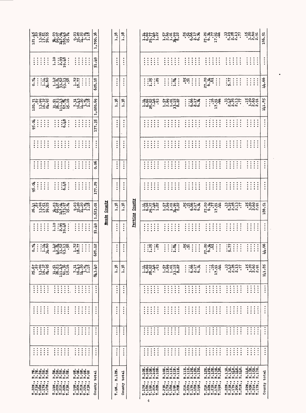| 12.35%<br>12.55%                                | 2014<br>2014<br>2015<br>2015                                                            | ್ಲಿಸ್ಕ್ರೆಸ್ಸ್<br>ವಿನಿಧಿಕೃತ                                                                                                                                                                                                                                                                                                                                                                                                                | 1,700.36                    |        | 1.38                        | 1.38                             |                |                                                                             |             | المواطنين<br>المواطنين المواطنين                                          | #¤\$قيمة<br>مەن م                                                                                                                                                                                                                                                                                                   | 요 <u></u><br>양국는약                                                                                   | <b>digetion</b>                                                                                                                                                                                                                                                                                                                                                             | <b>12885</b>                  | 186.51                      |
|-------------------------------------------------|-----------------------------------------------------------------------------------------|-------------------------------------------------------------------------------------------------------------------------------------------------------------------------------------------------------------------------------------------------------------------------------------------------------------------------------------------------------------------------------------------------------------------------------------------|-----------------------------|--------|-----------------------------|----------------------------------|----------------|-----------------------------------------------------------------------------|-------------|---------------------------------------------------------------------------|---------------------------------------------------------------------------------------------------------------------------------------------------------------------------------------------------------------------------------------------------------------------------------------------------------------------|-----------------------------------------------------------------------------------------------------|-----------------------------------------------------------------------------------------------------------------------------------------------------------------------------------------------------------------------------------------------------------------------------------------------------------------------------------------------------------------------------|-------------------------------|-----------------------------|
| ₩                                               | $\ldots$ $\ldots$ $\ldots$ $\ldots$                                                     | !!!!!                                                                                                                                                                                                                                                                                                                                                                                                                                     | 51.49                       |        | $\vdots$                    |                                  |                |                                                                             |             |                                                                           | !!!!!                                                                                                                                                                                                                                                                                                               | <u>!!!!!</u>                                                                                        | ::::<br>$\frac{1}{2}$                                                                                                                                                                                                                                                                                                                                                       | Ħ<br>$\vdots$                 | $\vdots$                    |
| हैं ∷‡ु<br>०ं ∷नेर्नू                           | ر مان<br>مربوطة<br><del>مر</del> اض <del>ة</del>                                        | $\begin{array}{c} \mathbf{1} \mathbf{3} \mathbf{1} \mathbf{3} \cdots \mathbf{5} \mathbf{1} \mathbf{5} \cdots \mathbf{5} \mathbf{1} \mathbf{6} \cdots \mathbf{5} \mathbf{1} \mathbf{1} \mathbf{5} \cdots \mathbf{5} \mathbf{1} \mathbf{1} \cdots \mathbf{5} \mathbf{1} \cdots \mathbf{5} \mathbf{1} \cdots \mathbf{5} \mathbf{1} \cdots \mathbf{5} \mathbf{1} \cdots \mathbf{5} \mathbf{1} \cdots \mathbf{5} \mathbf{1} \cdots \mathbf{5}$ | 628.18                      |        | $\vdots$                    | $\vdots$                         |                | $\ddot{z}$ : : : : : : : :                                                  |             |                                                                           | $\cdots$ $\vdots$ $\cdots$ $\cdots$ $\cdots$ $\cdots$ $\cdots$ $\cdots$ $\cdots$ $\cdots$                                                                                                                                                                                                                           |                                                                                                     | $\mathbb{R}$ : : :                                                                                                                                                                                                                                                                                                                                                          | ĦĦ                            | 44.66                       |
| 157555<br>179555<br>27755                       |                                                                                         | ていしょうしょう しょうしょう しょうしょう しょうしょう しょうしょう しょうしょう しょうしょう しょうしょう しょうしょう しょうしゃ スペット                                                                                                                                                                                                                                                                                                                                                               | 1,020.69                    |        | 1.38                        | 1.38                             |                | ಕ್ಷೂಚ್ಯ<br>ಕ್ಷೂಚ್ಯ                                                          |             | ون<br>بازان<br>بازانه                                                     | : :35ನ<br>: :ಬೆಗ್ಗ                                                                                                                                                                                                                                                                                                  | $\begin{array}{c}\n\vdots \\ \vdots \\ \vdots \\ \vdots \\ \vdots \\ \vdots \\ \vdots\n\end{array}$ | $\frac{1}{2}$                                                                                                                                                                                                                                                                                                                                                               | <b>12885</b>                  | 141.85                      |
| ਰੋ∷∷<br>'s៉ <sup>∷</sup> ∷                      | $\dddot{\mathbb{R}}$ :                                                                  | <b>WWW</b>                                                                                                                                                                                                                                                                                                                                                                                                                                | 177.35                      |        | $\vdots$                    | $\vdots$                         |                |                                                                             |             |                                                                           | WWW                                                                                                                                                                                                                                                                                                                 | $\frac{1}{2}$                                                                                       | <b>WEBS</b>                                                                                                                                                                                                                                                                                                                                                                 | ::::                          | ÷                           |
| !!!!!                                           | !!!!!                                                                                   | $\frac{1}{2}$                                                                                                                                                                                                                                                                                                                                                                                                                             | $\vdots$                    |        | $\vdots$                    | $\vdots$                         |                |                                                                             | <b>IIII</b> | $\begin{smallmatrix} \vdots & \vdots & \vdots & \vdots \end{smallmatrix}$ | :::::                                                                                                                                                                                                                                                                                                               | 33333                                                                                               | :::::                                                                                                                                                                                                                                                                                                                                                                       | 999                           |                             |
|                                                 | <b>WWW</b>                                                                              | -:::::                                                                                                                                                                                                                                                                                                                                                                                                                                    | °°,                         |        | $\ddot{\cdot}$              | $\vdots$                         |                |                                                                             |             | :::::                                                                     | :::::                                                                                                                                                                                                                                                                                                               | :::::                                                                                               | :::::                                                                                                                                                                                                                                                                                                                                                                       | 00                            |                             |
| $\vec{a}$ : : : : :<br>$\vec{a}$ : : : : :      | $\dddot{z}$ : $\dddot{z}$ :                                                             | 1000                                                                                                                                                                                                                                                                                                                                                                                                                                      | 177.29                      |        | $\vdots$                    | $\vdots$                         |                | :::::                                                                       |             |                                                                           | $\frac{1}{1}\frac{1}{1}\frac{1}{1}\frac{1}{1}\frac{1}{1}\frac{1}{1}\frac{1}{1}$                                                                                                                                                                                                                                     |                                                                                                     | $\frac{1}{2}$                                                                                                                                                                                                                                                                                                                                                               | ::::                          | $\vdots$                    |
| ತ್ತು ವರಳ<br>ಕಾತಿಗಳು                             | 0053572<br>2011:11:11                                                                   | ್ಯಸ್ಥಿತ್ವ.<br>ವಿಶಿಸಿಕ್ಕವ                                                                                                                                                                                                                                                                                                                                                                                                                  | 1,523.01                    | County | 1.38                        | 1.38                             | Perkins County | 18548<br>1981-1                                                             |             | ದಿತ್ತರೆ ಹಿಳ್ಳ<br>ಗುಂದೆ ಕ್ಷೇತ್ರ                                            | <b>死はのは、 こうこう</b>                                                                                                                                                                                                                                                                                                   | $\ddot{z}_{34}$                                                                                     | anggir.<br>Sang                                                                                                                                                                                                                                                                                                                                                             | <b>Esster</b>                 | 186.51                      |
| !!!!!                                           | $\ddot{a}$                                                                              | <b>WW</b>                                                                                                                                                                                                                                                                                                                                                                                                                                 | 51.49                       | Meade  | $\vdots$                    | $\vdots$                         |                | 99                                                                          | ₩           | ∷<br>$\ddot{\cdot}$                                                       | ∷∷<br>$\vdots$                                                                                                                                                                                                                                                                                                      | ∷∷<br>÷                                                                                             | !!!!!                                                                                                                                                                                                                                                                                                                                                                       | <u>::::</u>                   | $\vdots$                    |
| हैं ∷‡\$<br>≎ं∷‡\$                              | ಕ್ಷಿಪ್ಪೆ<br>ಕನ್ನಡಚಿತ್ರ<br>ಕನ್ನಡ                                                         | $13.72$<br>$18.77$<br>∷                                                                                                                                                                                                                                                                                                                                                                                                                   | 628.12                      |        | $\vdots$                    | $\vdots$                         |                | $\vdots$ :ន្ទី :ន្ទី                                                        |             |                                                                           | $\frac{1}{2}$ $\frac{1}{2}$ $\frac{1}{2}$ $\frac{1}{2}$ $\frac{1}{2}$ $\frac{1}{2}$ $\frac{1}{2}$ $\frac{1}{2}$ $\frac{1}{2}$ $\frac{1}{2}$ $\frac{1}{2}$ $\frac{1}{2}$ $\frac{1}{2}$ $\frac{1}{2}$ $\frac{1}{2}$ $\frac{1}{2}$ $\frac{1}{2}$ $\frac{1}{2}$ $\frac{1}{2}$ $\frac{1}{2}$ $\frac{1}{2}$ $\frac{1}{2}$ | $\ddot{\vec{r}}$                                                                                    | $\begin{picture}(20,20) \put(0,0){\vector(0,1){30}} \put(15,0){\vector(0,1){30}} \put(15,0){\vector(0,1){30}} \put(15,0){\vector(0,1){30}} \put(15,0){\vector(0,1){30}} \put(15,0){\vector(0,1){30}} \put(15,0){\vector(0,1){30}} \put(15,0){\vector(0,1){30}} \put(15,0){\vector(0,1){30}} \put(15,0){\vector(0,1){30}} \put(15,0){\vector(0,1){30}} \put(15,0){\vector(0$ | ₩                             | 44.66                       |
| sisting<br>2019<br>2019                         | deren<br>1811                                                                           | 738723                                                                                                                                                                                                                                                                                                                                                                                                                                    | 843.40                      |        | 1.38                        | 1.38                             |                | ಕ್ಷಾಭಕ್ಷೆ<br>$-68 -$                                                        |             | <b>122222</b><br>122522                                                   | $\begin{array}{c} \vdots \ \mathbb{R}^{n+1} \\ \vdots \ \mathbb{R}^{n+1} \end{array}$                                                                                                                                                                                                                               |                                                                                                     | $\frac{1}{2}$                                                                                                                                                                                                                                                                                                                                                               | <b>12885</b><br>              | 11.85<br>−                  |
| !!!!!                                           | $\begin{smallmatrix} 1 & 1 & 1 & 1 \\ 1 & 1 & 1 & 1 \\ 1 & 1 & 1 & 1 \end{smallmatrix}$ | !!!!!                                                                                                                                                                                                                                                                                                                                                                                                                                     | $\vdots$                    |        |                             | $\vdots$                         |                | <b>!!!!!</b>                                                                |             | !!!!!                                                                     | !!!!!                                                                                                                                                                                                                                                                                                               | $\begin{smallmatrix} \vdots & \vdots & \vdots & \vdots \end{smallmatrix}$                           |                                                                                                                                                                                                                                                                                                                                                                             | ∷∷                            | $\bullet$<br>$\ddot{\cdot}$ |
| ::::                                            |                                                                                         | ĦĦ                                                                                                                                                                                                                                                                                                                                                                                                                                        | $\vdots$                    |        | $\ddot{\cdot}$              | $\ddot{\cdot}$<br>$\ddot{\cdot}$ |                |                                                                             |             |                                                                           | ₩H                                                                                                                                                                                                                                                                                                                  | ₩₩                                                                                                  | 000                                                                                                                                                                                                                                                                                                                                                                         | $\vdots$<br>88                | $\vdots$                    |
| <b>!!!!!</b>                                    | <b>!!!!!</b>                                                                            | <b>WHI</b>                                                                                                                                                                                                                                                                                                                                                                                                                                | $\vdots$                    |        | $\ddot{\cdot}$<br>$\bullet$ | $\vdots$                         |                | <b>!!!!!!</b>                                                               |             | $\begin{smallmatrix} \vdots & \vdots & \vdots & \vdots \end{smallmatrix}$ | !!!!!                                                                                                                                                                                                                                                                                                               |                                                                                                     | <b>!!!!!</b>                                                                                                                                                                                                                                                                                                                                                                | 排用                            |                             |
| !!!!!                                           | $\{1\}$                                                                                 | $\begin{smallmatrix} 1 & 1 & 1 & 1 \\ 1 & 1 & 1 & 1 \\ 1 & 1 & 1 & 1 \end{smallmatrix}$                                                                                                                                                                                                                                                                                                                                                   | $\ddot{\cdot}$              |        | :                           | $\vdots$                         |                | ∷∷∷                                                                         |             | $\frac{1}{2}$                                                             | <b>HHI</b>                                                                                                                                                                                                                                                                                                          | !!!!!                                                                                               | !!!!!                                                                                                                                                                                                                                                                                                                                                                       | ∷∷                            |                             |
| nnas<br>Andria<br>T.22N.,<br>T.15N.,<br>T.17N., | esses<br>Esses<br>Erric<br>T.19N.,                                                      | eesee<br>Eesee<br>$\ddot{\cdot}$<br>$\ddot{\cdot}$<br>$\ddot{\cdot}$<br>$\ddot{\cdot}$<br>$\ddot{\phantom{a}}$                                                                                                                                                                                                                                                                                                                            | $_{\text{total}}$<br>County |        | R.12E<br>т. ом.,            | $_{\text{total}}$<br>County      |                | R.108.<br>R.108.<br>R.108.<br>$T:17N$<br>$T:19N$<br>$T:20N$<br>$T:22N$<br>4 |             | ÷<br>$\ddot{\cdot}$<br>$\ddot{\cdot}$<br>.:                               | R.1128.<br>R.1288.<br>R.1288.<br>$\ddot{\cdot}$<br>÷<br>$\ddot{\cdot}$                                                                                                                                                                                                                                              | R.128.<br>R.1188.<br>R.1138.<br>:::::                                                               | $\frac{138}{1145}$<br>$\ddot{\cdot}$<br>$\ddot{\cdot}$<br>$\ddot{\cdot}$                                                                                                                                                                                                                                                                                                    | HARR<br>RISE<br>:::<br>220217 | total<br>County             |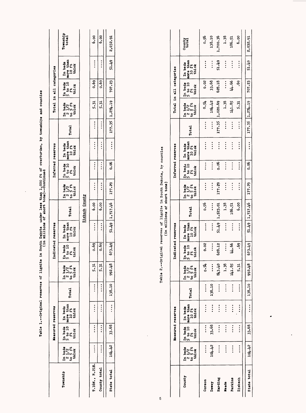|                                                                                     |                         | Township<br>total                                                                                                                                                                                                                                                                                                                                                                                                          |                | <b>8.00</b>         | 8.8              |  |
|-------------------------------------------------------------------------------------|-------------------------|----------------------------------------------------------------------------------------------------------------------------------------------------------------------------------------------------------------------------------------------------------------------------------------------------------------------------------------------------------------------------------------------------------------------------|----------------|---------------------|------------------|--|
|                                                                                     |                         | $\begin{array}{ l l }\n\hline\n\text{I} & \text{b} & \text{c} & \text{a} & \text{I} & \text{b} & \text{c} \\ \hline\n\text{I} & \text{I} & \text{I} & \text{I} & \text{I} & \text{I} & \text{f} & \text{f} \\ \hline\n\text{I} & \text{I} & \text{I} & \text{I} & \text{I} & \text{I} & \text{f} & \text{f} & \text{f} \\ \text{t} & \text{b} & \text{c} & \text{I} & \text{t} & \text{t} & \text{f} & \text{f} & \text{f$ |                | $\vdots$            | $\vdots$         |  |
|                                                                                     | Total in all categories |                                                                                                                                                                                                                                                                                                                                                                                                                            |                | 0.69                | S3.69            |  |
|                                                                                     |                         | In beat<br>2<br>$\frac{1}{2}$<br>3<br>thick<br>thick                                                                                                                                                                                                                                                                                                                                                                       |                | 5.31                | 5.31             |  |
|                                                                                     |                         | Total                                                                                                                                                                                                                                                                                                                                                                                                                      |                | $\vdots$            | $\vdots$         |  |
|                                                                                     |                         | In beds<br>$\begin{bmatrix}\n\text{for } t \\ 10 & \text{for } t \\ 10 & \text{for } t\n\end{bmatrix}$                                                                                                                                                                                                                                                                                                                     |                | $\vdots$            | $\vdots$         |  |
|                                                                                     | Inferred reserves       | $\begin{array}{ l }\n\hline\n5 to 10 \\ 5 to 10 \\ ft\n\end{array}$                                                                                                                                                                                                                                                                                                                                                        |                | $\vdots$            | $\vdots$         |  |
|                                                                                     |                         | $\frac{1}{2} \frac{\log a}{\log a}$                                                                                                                                                                                                                                                                                                                                                                                        |                | $\vdots$            | $\vdots$         |  |
|                                                                                     |                         | <b>Total</b>                                                                                                                                                                                                                                                                                                                                                                                                               | Ziebach County | 8.00                | <b>8.00</b>      |  |
| <b>NAME ASSOCIATE AND STRUCT AND AN ABOVE AND A PROPERTY AND A PARTICULAR AND A</b> | Indicated reserves      | In beds In beds<br>5 to 10 more than<br>ft 10 ft<br>thick thick                                                                                                                                                                                                                                                                                                                                                            |                | $\vdots$            | $\vdots$         |  |
|                                                                                     |                         |                                                                                                                                                                                                                                                                                                                                                                                                                            |                | $\frac{69}{3}$      | <b>o</b> .<br>0. |  |
|                                                                                     |                         | In beds<br>2 1/2<br>to 5 ft<br>thick                                                                                                                                                                                                                                                                                                                                                                                       |                | $\frac{1}{2}$       | 5.31             |  |
|                                                                                     |                         | Total                                                                                                                                                                                                                                                                                                                                                                                                                      |                | $\vdots$            | $\vdots$         |  |
|                                                                                     |                         |                                                                                                                                                                                                                                                                                                                                                                                                                            |                | $\vdots$            | $\vdots$         |  |
|                                                                                     | Measured reserves       | $\begin{tabular}{ c c } \hline In \textbf{beds} & In \textbf{beds} \\ \hline \textbf{5 to 10 more than} \\ \textbf{ft} & \textbf{10 ft} \\ \textbf{thck} & \textbf{thck} \\ \hline \end{tabular}$                                                                                                                                                                                                                          |                | $\vdots$            | $\vdots$         |  |
|                                                                                     |                         | In beda<br>2 1/2<br>thick<br>thick                                                                                                                                                                                                                                                                                                                                                                                         |                |                     | $\vdots$         |  |
|                                                                                     |                         | Pownship                                                                                                                                                                                                                                                                                                                                                                                                                   |                | $T.16N.$ , $R.21E.$ | County total     |  |

State total  $|104.42|$  33.68 .... 138.10

 $104.42$ 

State total

33.68

992.48

138.10

 $\overline{\cdot}$  $\frac{1}{2}$ 

67349

51.49 1.717.46

1,717.46 177.29 0.06 ..... 177.35

177.29

 $\overline{\cdot}$  $\frac{3}{2}$ 

177.35 1.274.19

 $\vdots$ 

707.23

2,032.91

.... 51.1\*9

Table 1.--Original reserves of lignite in South Dakota under less than 1,000 ft of overburden, by townships and counties Table 1. Original reserves of lignite in South Dakota under less than 1,000 ft of overburden, by townships and counties (in millions of short tons) --Continued

 $\ddot{\phantom{0}}$ 

South Dakota, by counties Table 2.--Original reserves of lignite in South Dakota, by counties able 2. Original reserves of lignita In

 $\mathbf 5$ 

|             |                                 |                                                                                                                                  |                                        |          |                                                   |                                     |                                        | (in millions of short tons) |                                                                                                                                                                                                                                                                                                                                                                                               |                                                                        |                                        |          |                                                               |                                       |                                        |                 |
|-------------|---------------------------------|----------------------------------------------------------------------------------------------------------------------------------|----------------------------------------|----------|---------------------------------------------------|-------------------------------------|----------------------------------------|-----------------------------|-----------------------------------------------------------------------------------------------------------------------------------------------------------------------------------------------------------------------------------------------------------------------------------------------------------------------------------------------------------------------------------------------|------------------------------------------------------------------------|----------------------------------------|----------|---------------------------------------------------------------|---------------------------------------|----------------------------------------|-----------------|
|             |                                 |                                                                                                                                  | Measured reserves                      |          |                                                   |                                     | Indicated reserves                     |                             |                                                                                                                                                                                                                                                                                                                                                                                               | Inferred reserves                                                      |                                        |          |                                                               | Total in all categories               |                                        |                 |
| County      | En peg<br>Port<br>En S<br>thick | $\begin{array}{c c}\n\hline\n\text{In body} \\ \hline\n\text{f to 10} \\ \text{if you} \\ \text{that of the right}\n\end{array}$ | In beds<br>more than<br>10 ft<br>thick | Total    | In bods<br>$272$<br>$52$<br>$12$<br>$12$<br>thick | In beds<br>5 to 10<br>thick<br>hick | more than<br>10 ft<br>thick<br>In beds | Total                       | $\frac{\frac{1}{2} \frac{1}{2} \frac{1}{2} \frac{1}{2} \frac{1}{2} \frac{1}{2} \frac{1}{2} \frac{1}{2} \frac{1}{2} \frac{1}{2} \frac{1}{2} \frac{1}{2} \frac{1}{2} \frac{1}{2} \frac{1}{2} \frac{1}{2} \frac{1}{2} \frac{1}{2} \frac{1}{2} \frac{1}{2} \frac{1}{2} \frac{1}{2} \frac{1}{2} \frac{1}{2} \frac{1}{2} \frac{1}{2} \frac{1}{2} \frac{1}{2} \frac{1}{2} \frac{1}{2} \frac{1}{2} \$ | $\frac{\sin \theta}{\sin \theta}$<br>$\frac{\sin \theta}{\sin \theta}$ | In beds<br>more than<br>10 ft<br>thick | Total    | In bods<br>$222$<br>$322$<br>$322$<br>$324$<br>$324$<br>$324$ | $5$ to 10<br>$\frac{1}{2}$<br>In beds | In beds<br>more than<br>10 ft<br>thick | County<br>total |
| Corson      | $\vdots$                        | $\vdots$                                                                                                                         | $\vdots$                               | $\vdots$ | ನೆ.<br>ಂ                                          | 0.02                                | $\vdots$                               | <b>95.0</b>                 | $\vdots$                                                                                                                                                                                                                                                                                                                                                                                      | $\vdots$                                                               | $\vdots$                               | $\vdots$ | ್ಲೆ<br>°                                                      | 0.02                                  | $\vdots$                               | 0.56            |
| Dewey       | 104.42                          | 33.68                                                                                                                            | $\vdots$                               | 138.10   | $\vdots$                                          | $\vdots$                            | $\vdots$                               | $\vdots$                    | $\vdots$                                                                                                                                                                                                                                                                                                                                                                                      | $\vdots$                                                               | $\vdots$                               | $\vdots$ | 204.42                                                        | 33.68                                 | $\vdots$                               | 138.10          |
| Harding     | $\vdots$                        | $\vdots$                                                                                                                         | $\vdots$                               | $\vdots$ | 843.40                                            | 628.12                              |                                        | 51.49 1.523.01              | 177.29                                                                                                                                                                                                                                                                                                                                                                                        | ა.<br>ა                                                                | $\vdots$                               | 177.35   | 1,020.69                                                      | 628.18                                | 51.49                                  | 1,700.36        |
| Meade       | $\vdots$                        | $\vdots$                                                                                                                         | $\vdots$                               | $\vdots$ | 1.38                                              | $\vdots$                            | $\vdots$                               | 1.38                        | $\vdots$                                                                                                                                                                                                                                                                                                                                                                                      | $\vdots$                                                               | $\vdots$                               | $\vdots$ | 1.38                                                          | $\vdots$                              | $\vdots$                               | 1.38            |
| Perkins     | $\vdots$                        | $\vdots$                                                                                                                         | $\vdots$                               | $\vdots$ | 141.85                                            | 44.66                               | $\vdots$                               | 186.51                      | $\vdots$                                                                                                                                                                                                                                                                                                                                                                                      | $\vdots$                                                               | $\vdots$                               | $\vdots$ | 141.85                                                        | 44.66                                 | $\vdots$                               | 186.51          |
| Ziebach     | $\vdots$                        | $\vdots$                                                                                                                         | $\vdots$                               | $\vdots$ | 5.31                                              | .69.                                | $\vdots$                               | 6.00                        | $\vdots$                                                                                                                                                                                                                                                                                                                                                                                      | $\vdots$                                                               | $\vdots$                               | $\vdots$ | 5.<br>5                                                       | .69.                                  | $\vdots$                               | 6.00            |
|             |                                 |                                                                                                                                  |                                        |          |                                                   |                                     |                                        |                             |                                                                                                                                                                                                                                                                                                                                                                                               |                                                                        |                                        |          |                                                               |                                       |                                        |                 |
| State total | 104.42                          | 33.68                                                                                                                            | $\vdots$                               | 138.10   | 992.48                                            | 67.249                              |                                        | 21.49 1.717.46              | 177.29                                                                                                                                                                                                                                                                                                                                                                                        | °°                                                                     | $\vdots$                               |          | 177.35 1.274.19                                               | 707.23                                | 51.49                                  | 2,032.91        |
|             |                                 |                                                                                                                                  |                                        |          |                                                   |                                     |                                        |                             |                                                                                                                                                                                                                                                                                                                                                                                               |                                                                        |                                        |          |                                                               |                                       |                                        |                 |

.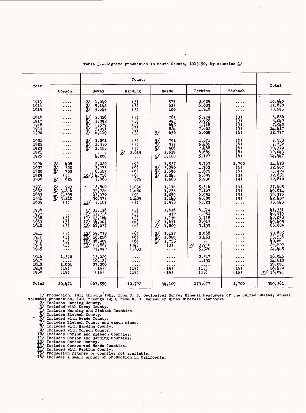|                                      |                                                                   |                                                                                                                    | County                                                                              |                                                          |                                                  |                                                    |                                                       |
|--------------------------------------|-------------------------------------------------------------------|--------------------------------------------------------------------------------------------------------------------|-------------------------------------------------------------------------------------|----------------------------------------------------------|--------------------------------------------------|----------------------------------------------------|-------------------------------------------------------|
| Year                                 | Corson                                                            | Dewey                                                                                                              | Harding                                                                             | Meade                                                    | Perkins                                          | Ziebach                                            | Total                                                 |
| 1913<br>1914<br>1915                 |                                                                   | 1,040<br>5,142<br>5,645<br>al<br>Zv                                                                                | $\begin{pmatrix} 3 \\ 3 \\ 3 \end{pmatrix}$                                         | 575<br>625<br>400                                        | 8,925<br>6,083<br>4,548                          |                                                    | 10,540<br>11,850<br>10,593                            |
| 1916<br>1917<br>1918<br>1919<br>1920 |                                                                   | 2,326<br>为为了<br>3,092<br>2,579<br>5,991<br>6,119                                                                   | $\begin{array}{c} (3) \\ (3) \\ (3) \\ (3) \\ (3) \\ (3) \\ (3) \end{array}$        | 781<br>995<br>845<br>824<br>650<br>5/                    | 5,779<br>3,955<br>4,718<br>$7,602$<br>$6,008$    | $\binom{3}{3}$<br>$\overline{3}$<br>$\binom{5}{6}$ | 8,886<br>$8,042$<br>$7,942$<br>$14,417$<br>$12,777$   |
| 1921<br>1922<br>1923<br>1924<br>1925 |                                                                   | 1,891<br>$\frac{2}{2}$<br>1,330<br>2,325<br>4,200                                                                  | $\begin{pmatrix} 3 \\ 3 \end{pmatrix}$<br>$\overline{3}$<br>5/<br>3,819<br>$\cdots$ | a/<br>D/<br>791<br>937<br>586<br>1,539<br>5,120<br>5/    | 4,871<br>5,485<br>7,468<br>6,685<br>5.127        | $\binom{6}{6}$<br>(6)<br>(8)<br>(6)                | 7,553<br>7,752<br>10,379<br>$12,043$<br>$14,447$      |
| 1926<br>1927<br>1928<br>1929<br>1930 | 408<br><u>laf</u><br>12/<br>720<br>700<br>$\binom{3}{6}$ 25<br>5/ | 5,020<br>$\frac{5}{6}$ , $\frac{775}{69}$<br><u>10/)</u><br>4,716<br>3,880                                         | (9)<br>(9)<br>$\binom{9}{6}$<br>875                                                 | 1,537<br>3,250<br>1,690<br>لا<br>کو<br>2,243<br>1,500    | 5,763<br>4,762<br>4,676<br>5,895<br>5,930        | 1,700<br>(6)<br>i6)<br>(3)<br>(9)                  | 14,428<br>12,507<br>$13,929$<br>12,954<br>12,810      |
| 1931<br>1932<br>1933<br>1934<br>1935 | ダンダ<br>3,246<br>$7,395$<br>3,210<br>(3)                           | 18,800<br>35,726<br>43,970<br>30,375<br>5,162<br>11/                                                               | 1,030<br>1,680<br>$\begin{array}{c} (9) \\ 1,485 \\ (3) \end{array}$                | 1,116<br>$1,25$<br>$1,059$<br>$1,448$<br>$1,558$         | $5,546$<br>$7,167$<br>$6,951$<br>5,889<br>6,523  | $\binom{9}{9}$<br>(9)<br>(9)<br>.                  | 27,485<br>49,074<br>59,375<br>42,407<br>43,243        |
| 1936<br>1937<br>1938<br>1939<br>1940 | (3)<br>(3)<br>(3)                                                 | HALLAND<br>33,136<br>41,718<br>43,164<br>44,907<br>61,077                                                          | $\begin{smallmatrix} (3) \ (3) \ (3) \ (3) \ (4) \ (6) \ (6) \end{smallmatrix}$     | 1,616<br>972<br>1,176<br>1,671<br>$\frac{2}{2}$<br>1,809 | 6,579<br>4,289<br>3,718<br>$2,917$<br>3,199      |                                                    | 41,331<br>46,979<br>48,058<br>49,495<br>66,085        |
| 1941<br>1942<br>1943<br>1944<br>1945 | (3)<br>$\overline{3}$<br>$\binom{3}{3}$                           | $\frac{12}{12}$ , 65, 730<br>$\frac{12}{12}$ , 48, 226<br>$\frac{12}{36}$ , 909<br>$\frac{12}{22}$ , 887<br>17,092 | $\binom{6}{6}$<br>(6)<br>$\begin{smallmatrix} (14) \ 1, 833 \end{smallmatrix}$      | $\frac{2}{2}$<br>2,127<br>1,859<br>1,755<br>(3)          | 2,968<br>3,453<br>3,940<br>5,520<br>$\mathbf{z}$ |                                                    | 70,825<br>53,538<br>49,664<br>26,827<br>24.445        |
| 1946<br>1947<br>1948<br>1949<br>1950 | 1,370<br>1,804<br>$\frac{(15)}{(15)}$                             | 13,029<br>10, 127<br>27,290<br>$\frac{(15)}{(15)}$                                                                 | $\binom{15}{15}$                                                                    | $\binom{15}{15}$                                         | $2,547$<br>4,191<br>$\frac{(15)}{(15)}$          | $\binom{15}{15}$                                   | 16,946<br>14,618<br>29,094<br>26,429<br>38,694<br>16/ |
| Total                                | 20,471                                                            | 667,559                                                                                                            | 10,722                                                                              | 44,109                                                   | 179,677                                          | 1,700                                              | 989,361                                               |

#### Table 3.--Lignite production in South Dakota, 1913-50, by counties  $1/$

1/Production, 1913 through 1923, from U.S. Geological Survey Mineral Resources of the United States, annual<br>volumes: production, 1924 through 1950, from U.S. Geological Survey Mineral Resources of the United States, annual

- 
- 
- 
- 

- 
- 
-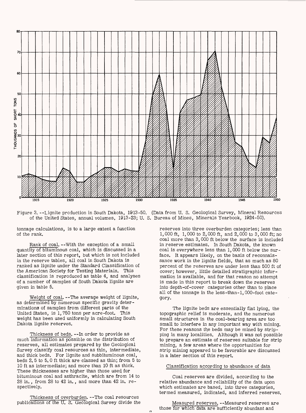

Figure 3. --Lignite production in South Dakota, 1913-50. (Data from U. S. Geological Survey, Mineral Resources of the United States, annual volumes, 1913-23; U. S. Bureau of Mines, Minerals Yearbook, 1924-50).

tonnage calculations, is to a large extent a function of the rank.

Rank of coal. --With the exception of a small quantity of bituminous coal, which is discussed in a later section of this report, but which is not included in the reserve tables, all coal in South Dakota is ranked as lignite under the Standard Classification of the American Society for Testing Materials. This classification is reproduced as table 4, and analyses of a number of samples of South Dakota lignite are given in table 5.

Weight of coal. --The average weight of lignite, as determined by numerous specific gravity determinations of samples from different parts of the United States, is 1,750 tons per acre-foot. This weight has been used uniformly in calculating South Dakota lignite reserves.

Thickness of beds. -- In order to provide as much information as possible on the distribution of reserves, all estimates prepared by the Geological Survey classify coal resources as thin, intermediate, and thick beds. For lignite and subbituminous coal, beds 2. 5 to 5. 0 ft thick are-classed as thin; from 5 to 10 ft as intermediate; and more than 10 ft as thick. These thicknesses are higher than those used for bituminous coal and anthracite, which are from 14 to 28 in., from 28 to 42 in., and more than 42 in. respectively.

Thickness of overburden. --The coal resources publications of the U. S. Geological Survey divide the reserves into three overburden categories; less than 1, 000 ft, 1, 000 to 2, 000 ft, and 2, 000 to 3, 000 ft; no coal more than 3, 000 ft below the surface is included in reserve estimates. In South Dakota, the known coal is everywhere less than 1,000 ft below the surface. It appears likely, on the basis of reconnaissance work in the lignite fields, that as much as 80 percent of the reserves are under less than 500 ft of cover; however, little detailed stratigraphic information is available, and for that reason no attempt is made in this report to break down the reserves into depth-of-cover categories other than to place all of the tonnage in the less-than-1, 000-foot category.

The lignite beds are essentially flat lying, the topographic relief is moderate, and the numerous small structures in the coal-bearing area are too small to interfere in any important way with mining. For these reasons the beds may be mined by stripping in many localities. Although it was not possible to prepare an estimate of reserves suitable for strip mining, a few areas where the opportunities for strip mining appeared to be favorable are discussed in a later section of this report.

#### Classification according to abundance of data

Coal reserves are divided, according to the relative abundance and reliability of the data upon which estimates are based, into three categories, termed measured, indicated, and inferred reserves.

Measured reserves. --Measured reserves are those for which data are sufficiently abundant and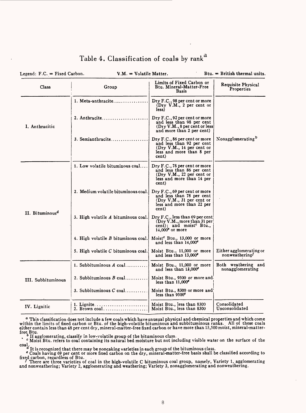| Legend: $F.C. = Fixed Carbon.$ | $V.M. = Volatile Matter.$           |                                                                                                                                 | $Btu = British thermal units.$                               |
|--------------------------------|-------------------------------------|---------------------------------------------------------------------------------------------------------------------------------|--------------------------------------------------------------|
| Class                          | Group                               | Limits of Fixed Carbon or<br>Btu. Mineral-Matter-Free<br>Basis                                                                  | Requisite Physical<br>Properties                             |
|                                | 1. Meta-anthracite                  | Dry F.C., 98 per cent or more<br>(Dry V.M., 2 per cent or<br>less)                                                              |                                                              |
| I. Anthracitic                 | 2. Anthracite                       | Dry F.C., 92 per cent or more<br>and less than 98 per cent<br>(Dry V.M., 8 per cent or less<br>and more than 2 per cent)        |                                                              |
|                                | 3. Semianthracite                   | Dry F.C., 86 per cent or more<br>and less than 92 per cent<br>(Dry $V.M.,$ 14 per cent or<br>less and more than 8 per<br>cent)  | Nonagglomerating <sup>D</sup>                                |
|                                | 1. Low volatile bituminous coal     | Dry F.C., 78 per cent or more<br>and less than 86 per cent<br>(Dry $V.M., 22$ per cent or<br>less and more than 14 per<br>cent) |                                                              |
|                                | 2. Medium volatile bituminous coal. | Dry F.C., 69 per cent or more<br>and less than 78 per cent<br>(Dry V.M., 31 per cent or<br>less and more than 22 per<br>cent)   |                                                              |
| II. Bituminous <sup>d</sup>    | 3. High volatile A bituminous coal. | Dry F.C., less than 69 per cent<br>(Dry V.M., more than 31 per<br>cent); and moist <sup>c</sup> Btu.,<br>$14,000e$ or more      |                                                              |
|                                | 4. High volatile B bituminous coal. | Moist <sup>c</sup> Btu., 13,000 or more<br>and less than 14,000 <sup>e</sup>                                                    |                                                              |
|                                | 5. High volatile C bituminous coal. | Moist Btu., 11,000 or more<br>and less than 13,000 <sup>°</sup>                                                                 | Either agglomerating or<br>nonweathering <sup><i>j</i></sup> |
|                                | 1. Subbituminous $A$ coal           | Moist Btu., 11,000 or more<br>and less than 13,000°                                                                             | Both weathering and<br>nonagglomerating                      |
| III. Subbituminous             | 2. Subbituminous $B$ coal           | Moist Btu., 9500 or more and<br>less than 11,000°                                                                               |                                                              |
|                                | 3. Subbituminous $C$ coal           | Moist Btu., 8300 or more and<br>less than 9500 <sup>e</sup>                                                                     |                                                              |
| IV. Lignitic                   | 1. Lignite<br>2. Brown coal         | Moist Btu., less than 8300<br>Moist Btu., less than 8300                                                                        | Consolidated<br>Unconsolidated                               |

# Table 4. Classification of coals by rank<sup>a</sup>

<sup>a</sup> This classification does not include a few coals which have unusual physical and chemical properties and which come within the limits of fixed carbon or Btu. of the high-volatile bituminous and subbituminous ranks. Al free Btu.<br>
<sup>6</sup> If agglomerating, classify in low-volatile group of the bituminous class.<br>
<sup>c</sup>Moist Btu. refers to coal containing its natural bed moisture but not including visible water on the surface of the

coal.<br>It is recognized that there may be noncaking varieties in each group of the bituminous class.<br>Coals having 69 per cent or more fixed carbon on the dry, mineral-matter-free basis shall be classified according to

fixed carbon, regardless of Btu.

There are three varieties of coal in the high-volatile C bituminous coal group, namely, Variety 1, agglomerating<br>and nonweathering; Variety 2, agglomerating and weathering; Variety 3, nonagglomerating and nonweathering.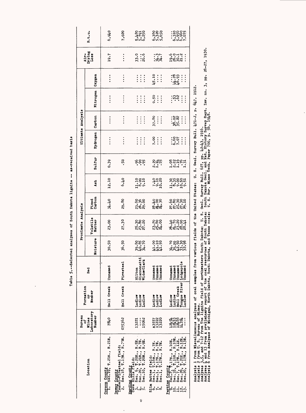| ፧ |
|---|
|   |
|   |
| ı |
|   |
| l |
| í |
|   |

 $\ddot{\phantom{a}}$ 

| <b>B.t.u.</b><br>Air-<br>Drying<br>Loss                                                                                                                                                                            | 6,940<br>7,020<br>19.7<br>$\vdots$                                | 5,250<br>្លី: ្លែ                                                                                                                                                                                                                                                                                                                                                                                                                       | 6,3850<br>$\sum_{n=1}^{n}$                                                                               |
|--------------------------------------------------------------------------------------------------------------------------------------------------------------------------------------------------------------------|-------------------------------------------------------------------|-----------------------------------------------------------------------------------------------------------------------------------------------------------------------------------------------------------------------------------------------------------------------------------------------------------------------------------------------------------------------------------------------------------------------------------------|----------------------------------------------------------------------------------------------------------|
| 0xyzen                                                                                                                                                                                                             | $\vdots$                                                          | $\vdots$<br>$\vdots$<br>$\vdots$                                                                                                                                                                                                                                                                                                                                                                                                        | 45.10<br>$\vdots$<br>$\vdots$                                                                            |
| Nitrogen                                                                                                                                                                                                           | $\vdots$                                                          | $\vdots$<br>$\vdots$<br>$\vdots$                                                                                                                                                                                                                                                                                                                                                                                                        | 0.50<br>$\vdots$<br>$\vdots$                                                                             |
| Carbon<br>Hydrogen                                                                                                                                                                                                 | $\vdots$<br>$\vdots$                                              | $\vdots$<br>$\vdots$<br>$\vdots$                                                                                                                                                                                                                                                                                                                                                                                                        | $\frac{1}{2}$<br>$\vdots$<br>$\vdots$                                                                    |
| Sulfur                                                                                                                                                                                                             | ្លឹ                                                               | કરેફે                                                                                                                                                                                                                                                                                                                                                                                                                                   | ನಿ≓ಿಸಿ<br>ನೆ≓                                                                                            |
| Ash                                                                                                                                                                                                                | 6.40                                                              | 13.30                                                                                                                                                                                                                                                                                                                                                                                                                                   | 228                                                                                                      |
| Fixed<br>Carbon                                                                                                                                                                                                    | 29.80                                                             | ಹಿಸಿ<br>ನಿನಿ                                                                                                                                                                                                                                                                                                                                                                                                                            | ្ម<br>ខ្លុ <sub>ង</sub> ្ស                                                                               |
| Volatile<br>Matter                                                                                                                                                                                                 | 27.30                                                             | ននុន្ត<br>ងូតូតូ                                                                                                                                                                                                                                                                                                                                                                                                                        | ೯೩೯<br>ನಿನಿನ                                                                                             |
| Moisture                                                                                                                                                                                                           | 36.50                                                             | 39.85<br>29.70<br>34.70                                                                                                                                                                                                                                                                                                                                                                                                                 | 325<br>111<br>111                                                                                        |
| Bed                                                                                                                                                                                                                | <b>Firesteel</b>                                                  | Hilton                                                                                                                                                                                                                                                                                                                                                                                                                                  | Junamed<br>Unnamed<br>Jnnamed                                                                            |
| Formation<br>Member                                                                                                                                                                                                | Hell Creek                                                        | Ludlow<br>Ludlow<br>Ludlow                                                                                                                                                                                                                                                                                                                                                                                                              | Ludlow<br>Ludlow<br><b>Ludlow</b>                                                                        |
| Laboratory<br>Number<br>Mines<br>ع<br>م                                                                                                                                                                            | c75362                                                            | 15062<br>$\vdots$<br>13221                                                                                                                                                                                                                                                                                                                                                                                                              | 43552<br>13220<br>13220                                                                                  |
| Location                                                                                                                                                                                                           | Sec.18, T.17M., R.23E.<br>Dewey County<br>Isabel-Piresteel field: | $\frac{\frac{\text{Im}{3}}{\text{Im}}\frac{\text{Im}{3}}\frac{\text{Im}{3}}{\text{Im}}\frac{\text{Im}{3}}{\text{Im}(\frac{1}{2}+\text{Im}(\frac{1}{2}+\text{Im}(\frac{1}{2}+\text{Im}(\frac{1}{2}+\text{Im}(\frac{1}{2}+\text{Im}(\frac{1}{2}+\text{Im}(\frac{1}{2}+\text{Im}(\frac{1}{2}+\text{Im}(\frac{1}{2}+\text{Im}(\frac{1}{2}+\text{Im}(\frac{1}{2}+\text{Im}(\frac{1}{2}+\text{Im}(\frac{1}{2}+\text{Im}(\frac{1}{2}+\text{Im$ | Slim Buttes field:<br>6. Sec.1, T.16N., R.7E.<br>7. Sec.1, T.17N., R.7E.<br>8. Sec.1, T.17N., R.7E.<br>9 |
| $\vdots$<br>$\vdots$<br>$\vdots$<br>$\vdots$<br>0.39<br>12.10<br>34.40<br>23.00<br>30.50<br>Unnamed<br>Hell Creek<br>7840<br>$\frac{\text{Corson } \text{Count}}{\text{1.} \text{Soc.19, T.21N.} \text{, R.21R.}}$ |                                                                   | $\vdots$<br>$\vdots$<br>$\vdots$<br>Giannonatti<br>WidowClark                                                                                                                                                                                                                                                                                                                                                                           | 37.80<br>$\vdots$<br>$\vdots$                                                                            |

 $\ddot{\phantom{0}}$ 

Analysis 1 from Miscellaneous analyses of coal eamples from various fields of the United States: U.S. Geol. Survey Bull. 471-J, p. 647, 1912.<br>Analysis 2 from U.S. Bureau of Minest field of northwestern South Dakota: U.S. G

 $\ddot{\phantom{0}}$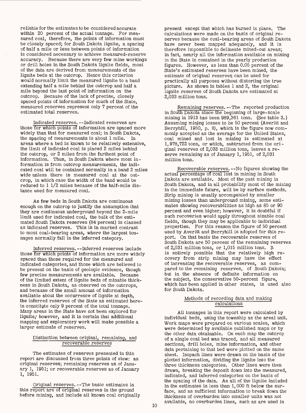reliable for the estimates to be considered accurate within 20 percent of the actual tonnage. For measured coal, therefore, the points of information must be closely spaced; for South Dakota lignite, a spacing of half a mile or less between points of information is considered necessary to achieve measured-reserve accuracy. Because there are very few mine workings or drill holes in the South Dakota lignite fields, most of the data are derived from measurements of the lignite beds at the outcrop. Hence this criterion would normally limit the measured lignite to a band extending half a mile behind the outcrop and half a mile beyond the last point of information on the outcrop. Because of the lack of precise, closely spaced points of information for much of the State, measured reserves represent only 7 percent of the estimated total reserves.

Indicated reserves. --Indicated reserves are those for which points of information are spaced more widely than that for measured coal; in South Dakota, the spacing of measurements is about 1 mile. In areas where a bed is known to be relatively extensive, the limit of indicated coal is placed 2 miles behind the outcrop, or 2 miles from the farthest point of information. Thus, in South Dakota where most in formation is from outcrop measurements, the indicated coal will be contained normally in a band 2 miles wide unless there is measured coal at the outcrop, in which case the width of the band would be reduced to 1 1/2 miles because of the half-mile distance used for measured coal.

As few beds in South Dakota are continuous enough on the outcrop to justify the assumption that they are continuous underground beyond the 2-mile limit used for indicated coal, the bulk of the estimated South Dakota reserves (84 percent) is classed as indicated reserves. This is in marked contrast to most coal-bearing areas, where the largest tonnages normally fall in the inferred category.

Inferred reserves. -- Inferred reserves include those for which points of information are more widely spaced than those required for the measured and indicated categories, and those which are believed to be present on the basis of geologic evidence, though few precise measurements are available. Because of the limited extent of lignite beds of minable thickness in South Dakota, as observed on the outcrops, and because of the small amount of information available about the occurrence of lignite at depth, the inferred reserves of the State as estimated herein constitute only 9 percent of the total tonnage. Many areas in the State have not been explored for lignite, however, and it is certain that additional mapping and exploratory work will make possible a larger estimate of reserves.

#### Distinction between original, remaining, and recoverable reserves

The estimates of reserves presented in this report are discussed from three points of view: as original reserves; remaining reserves as. of January *1,* 1951; or recoverable reserves as of January 1, 1951.

Original reserves. --The basic estimates in this report are of original reserves in the ground before mining, and include all known coal originally present except that which has burned in place. The calculations were made on the basis of original reserves because the coal-bearing areas of South Dakota have never been mapped adequately, and it is therefore impossible to delineate mined-out areas; in fact, nearly all the information available on mining in the State is contained in the yearly production figures. However, as less than 0.05 percent of the State's estimated reserves have been mined, the estimate of original reserves, can be used for practically all purposes without distorting the true picture. As shown in tables 1 and 2, the original lignite reserves of South Dakota are estimated at 2,033 million tons.

Remaining reserves. --The reported production in South Dakota since the beginning of large-scale mining in 1913 has been 989,361 tons. (See table 3.) Assuming mining losses to be 50 percent (Averitt and Berryhill, 1950, p. 8), which is the figure now commonly accepted as the average for the United States, coal mined and lost in mining is estimated at 1,978,722 tons, or which, subtracted from the original reserves of 2,033 million tons, leaves a reserve remaining as of January 1, 1951, of 2,031 million tons.

Recoverable reserves. --No figures showing the actual percentage of coal lost in mining in South Dakota are available. Most of the past mining in South Dakota, and in all probability most of the mining in the immediate future, will be by surface methods. Strip mining is usually accompanied by smaller mining losses than underground mining, some estimates showing recoverabilities as high as 85 or 90 percent and even higher; however, it is doubtful if such recoveries would apply throughout sizable coal fields, though they may be applicable to individual properties. For this reason the figure of 50 percent used by Averitt and Berryhill is adopted for this report. On that basis the recoverable reserves of South Dakota are 50 percent of the remaining reserves of 2,031 million tons, or 1,015 million tons. It is entirely possible that the relatively high recovery from strip mining may have the effect of increasing the recoverable reserves, as compared to the remaining reserves, of South Dakota; but in the absence of definite information on the subject, the conservative 50-percent figure, which has been applied in other states, is used also for South Dakota.

#### Methods of recording data and making calculations

All tonnages in this report were calculated by individual beds, using the township as the areal unit. Work maps were prepared on various scales, which were determined by available published maps or by the other data obtainable. On each map the outcrop of a single coal bed was traced, and all measured sections, drill holes, mine information, and other data pertaining to that bed were plotted on the same sheet. Isopach lines were drawn on the basis of the plotted information, dividing the lignite into the three thickness categories. Other lines were then drawn, breaking the deposit down into the measured, indicated, and inferred categories on the basis of the spacing of the data. As all of the lignite included in the estimates is less than 1,000 ft below the surface, and as sufficient information to break down the thickness of overburden into smaller units was not available, no overburden lines, such as are used in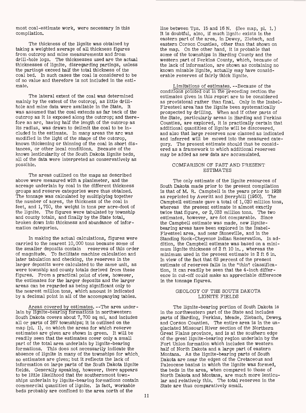most coal-estimate work, were necessary in this compilation.

The thickness of the lignite was obtained by taking a weighted average of all thickness figures from outcrop and mine measurements and from drill-hole logs. The thicknesses used are the actual thicknesses of lignite, disregarding partings, unless the partings exceed half the total thickness of the coal bed. In such cases the coal- is considered to be of no value and therefore is not included in the estimate.

The lateral extent of the coal was determined mainly by the extent of the outcrop', as little drillhole and mine data were available in the State. It was assumed that the coal extends as far back of the outcrop as it is exposed along the outcrop; and therefore an arc, having half the length of the outcrop as its radius, was drawn to delimit the coal to be included in the estimate. In many areas the arc was modified in the light of the shape of the outcrop, known thickening or thinning of the coal in short distances, or other local conditions. Because of the known lenticularity of the South Dakota lignite beds, all of the data were interpreted as conservatively as possible.

The areas outlined on the maps as described above were measured with a planimeter, and the acreage underlain by coal in the different thickness groups and reserve categories were thus obtained. The tonnage was calculated by multiplying together the number of acres, the thickness of the coal in feet, and 1,750, the weight in tons per acre-foot of the lignite. The figures were tabulated by township and county totals, and finally by the State total, broken down into thickness and abundance of information categories.

In making the actual calculations, figures were carried to the nearest 10,000 tons because some of the smaller deposits contain reserves of this order of magnitude. To facilitate machine calculation and later tabulation and checking, the reserves in the larger deposits were calculated to the same unit, as were township and county totals derived from these figures. From a practical point of view, however, the estimates for the larger deposits and the larger areas can be regarded as being significant only to the nearest million tons, which amount is indicated by a decimal point in all of the accompanying tables.

Areas covered by estimates. --The area underlain by lignite-bear ing formations in northwestern South Dakota covers about 7, 700 sq mi, and includes all or parts of 267 townships; it is outlined on the map (pi. 1), on which the areas for which reserve estimates are given are shown in green. It will be readily seen that the estimates cover only a small part of the total area underlain by lignite-bear ing formations. This does not necessarily indicate the absence of lignite in many of the townships for which, no estimates are given; but it reflects the lack of information on large parts of the South Dakota lignite fields. Generally speaking, however, there appears to be little likelihood that the southernmost townships underlain by lignite-bearing formations contain commercial quantities of lignite. In fact, workable beds probably are confined to the area north of the

line between Tps. 15 and 16 N. (See map, pi. 1.) It is doubtful, also, if much lignite exists in the eastern part of the area, in Dewey, Ziebach, and eastern Corson Counties, other than that shown on the map. On the other hand, it is probable that some of the townships in Harding County and the western part of Ferkins County, which, because of the lack of information, are shown as containing no known minable lignite, actually may have considerable reserves of fairly thick lignite.

Limitations of estimates. --Because of the conditions pointed out in the preceding section the estimates given in this report are to be considered as provisional rather than final. Only in the Isabel-Firesteel area'has the lignite been systematically prospected by drilling. When and if other parts of the State, particularly areas in Harding and Ferkins Counties, are explored, it is practically certain that additional quantities of lignite will be discovered, and also that large reserves now classed as indicated and inferred will be moved into the measured category. The present estimate should thus be considered as a framework to which additional reserves may be added as new data are accumulated.

#### COMPARISON OF FAST AND PRESENT ESTIMATES

The only estimate of the lignite resources of South Dakota made prior to the present compilation is that of M. R. Campbell in the years prior to 1928 as reprinted by Averitt and Berryhill (1950). The Campbell estimate gave a total of 1,020 million tons, whereas the present estimate is almost exactly twice that figure, or 2,033 million tons. The two estimates, however, are not comparable. Since the Campbell estimate was made, new lignitebearing areas have been explored in the Isabel-Firesteel area, and near Stoneville, and in the Standing Rock-Cheyenne Indian Reservation. In addition, the Campbell estimate was based on a minimum lignite thickness of 2 ft 10 in., whereas the minimum used in the present estimate is 2 ft 6 in. In view of the fact that 63 percent of the present estimate of reserves falls in the "thin'! classification, it can readily be seen that the 4-inch difference in cut-off could make an appreciable difference in the tonnage figures.

#### GEOLOGY OF THE SOUTH DAKOTA LIGNITE FIELDS

The lignite-bear ing portion of South Dakota is in the northwestern part of the State and includes parts of Harding, Ferkins, Meade, Ziebach, Dewey, and Corson Counties. The entire area is in the unglaciated Missouri River section of the Northern Great Plains province, and is at the southern edge of the great lignite-bear ing region underlain by the Fort Union formation which includes the western half of North Dakota and a large part of eastern Montana. As the lignite-bear ing parts of South Dakota are near the edges of the Cretaceous and Faleocene basins in which the lignite was formed, the beds in the area, when compared to those of North Dakota and Montana, are much more lenticular and relatively thin. The total reserves in the State are thus comparatively small.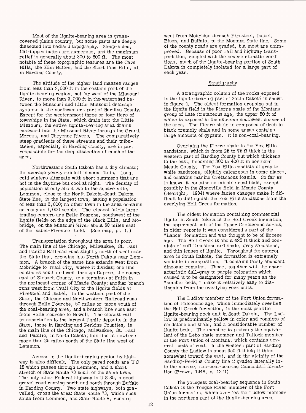Most of the lignite-bear ing area is grasscovered plains country, but some parts are deeply dissected into badland topography. Steep-sided, flat-topped buttes are numerous, and the maximum relief is generally about 300 to 600 ft. The most notable of these topographic features are the Cave Hills, the Slim Buttes, and the Short Fine Hills, all in Harding County.

The altitude of the higher land masses ranges from less than 2,000 ft in the eastern part of the lignite-bear ing region, not far west of the Missouri River, to more than 3, 000 ft in the. watershed between the Missouri and Little Missouri drainage systems in the northwestern part of Harding County. Except for the westernmost three or four tiers of townships in the State, which drain into the Little Missouri, the entire lignite-bear ing area drains eastward into the Missouri River through the Grand, Moreau, and Cheyenne Rivers. The comparatively steep gradients of these streams and their tributaries, especially in Harding County, are in part responsible for the deep dissection of much of the area.

Northwestern South Dakota has a dry climate; the average yearly rainfall is about 15 in. Long, cold winters alternate with short summers that are hot in the daytime but cool at night. The density of population is only about two to the square mile. Lemmon, close to the North Dakota-South Dakota State line, is the largest town, having a population of less than 3, 000; no other town in the area contains as many as 1, 000 people. The closest fairly large trading centers are Belle Fourche, southwest of the lignite fields on the edge of the Black Hills, and Mobridge, on the Missouri River about 50 miles east of the Isabel-Firesteel field. (See map, pi. 1.)

Transportation throughout the area is poor. The main line of the Chicago, Milwaukee, St. Paul and Pacific Railroad runs slightly north of-west near the State line, crossing into North Dakota near Lemmon. A branch of the same line extends west from Mobridge to Trail City, where it divides; one line continues south and west through Dupree, the county east of Ziebach County, to a terminus at Faith in the northeast corner of Meade County; another branch runs west from Trail City to the lignite fields at Firesteel and Isabel. In the western part of the State, the Chicago and Northwestern Railroad runs through Belle Fourche, 50 miles or more south of the coal-bearing area, and a branch line runs east from Belle Fourche to Newell. The closest rail transportation to the largest lignite deposits in the State, those in Harding and Perkins Counties, is the main line of the Chicago, Milwaukee, St. Paul and Pacific, in North Dakota; this line is nowhere more than 25 miles north of the State line west of Lemmon.

Access to the lignite-bearing region by highway is also difficult. The only paved roads are U S 12 which passes through Lemmon, and a short stretch of State Route 73 south of the same town. The only other Federal highway is U S 85, a good gravel road running north and south through Buffalo in Harding County. Two state highways, both gravelled, cross the area; State Route 73, which runs south from Lemmon, and State Route 8, running

west from Mobridge through Firesteel, Isabel, Bison, and Buffalo, to the Montana State line. Some of the county roads are graded, but most are unimproved. Because of poor rail and highway transportation, coupled with the severe climatic conditions, much of the lignite-bear ing portion of South Dakota is completely isolated for a large part of each year.

#### Stratigraphy

A stratigraphic column of the rocks exposed in the lignite-bear ing part of South Dakota is shown in figure 4. The oldest formation cropping out in the lignite field is the Fierre shale of the Montana group of Late Cretaceous age, the upper 50 ft of which is exposed in the extreme southwest corner of the area. The Fierre shale is composed of drab to black crumbly shale and in some areas contains large amounts of gypsum. It is non-coal-bearing.

Overlying the Pierre shale is the Fox Hills sandstone, which is from 25 to 75 ft thick in the western part of Harding County but which thickens to the east, becoming 300 to 400 ft in northern Meade County. The Fox Hills consists of gray to white sandstone, slightly calcareous in some places, and contains marine Cretaceous fossils. So far as is known it contains no minable coal beds, except possibly in the Stoneville field in Meade County (Searight, 1934) where facies changes make it difficult to distinguish the Fox Hills sandstone from the overlying Hell Creek formation.

The oldest formation containing commercial lignite in South Dakota is the Hell Creek formation, the uppermost unit of the Upper Cretaceous series; in older reports it was considered a part of the "Lance" formation and was thought to be of Eocene age. The Hell Creek is about 425 ft thick and consists of soft limestone and shale, gray sandstone, and thin lenses of lignite. Throughout its outcrop area in South Dakota, the formation is extremely variable in composition. It contains fairly abundant dinosaur remains. These, together with the characteristic dull-gray to purple coloration which caused it to be designated for many years as the "somber beds, " make it relatively easy to distinguish from the overlying rock units.

The Ludlow member of the Fort Union formation of Faleocene age, which immediately overlies the Hell Creek formation, is the most prolific lignite-bear ing rock unit in South Dakota. The Ludlow is predominantly yellow in color and consists of sandstone and shale, and a considerable number of lignite beds. The member is probably the equivalent of the Lebo shale member and Tullock member of the Fort Union of Montana, which contains several beds of coal. In the western part of Harding County the Ludlow is about 350 ft thick; it thins somewhat toward the east, and in the vicinity of the Harding-Perkins County line it grades laterally into the marine, non-coal-bearing Cannonball formation (Brown, 1948, p. 1271).

The youngest coal-bearing sequence in South Dakota is the Tongue River member of the Fort Union formation, which overlies the Ludlow member in the northern part of the lignite-bearing area.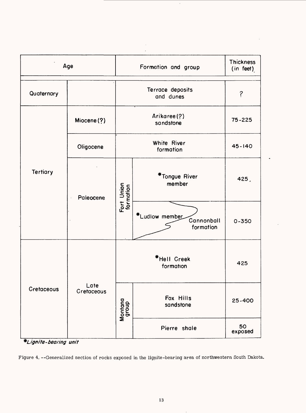| Age             |                    | Formation and group           |                                           | <b>Thickness</b><br>(in feet) |
|-----------------|--------------------|-------------------------------|-------------------------------------------|-------------------------------|
| Quaternary      |                    | Terrace deposits<br>and dunes |                                           | $\tilde{?}$                   |
| <b>Tertiary</b> | Miocene (?)        | Arikaree(?)<br>sandstone      |                                           | $75 - 225$                    |
|                 | Oligocene          | White River<br>formation      |                                           | $45 - 140$                    |
|                 | Paleocene          | Fort Union<br>formation       | *Tongue River<br>member                   | 425.                          |
|                 |                    |                               | *Ludlow member<br>Cannonball<br>formation | $0 - 350$                     |
| Cretaceous      | Late<br>Cretaceous | *Hell Creek<br>formation      |                                           | 425                           |
|                 |                    | Montana<br>group              | Fox Hills<br>sandstone                    | 25-400                        |
|                 |                    |                               | Pierre shale                              | 50<br>exposed                 |

 $\sim$ 

 $\epsilon$ 

 $\lambda$ 

\* Lignite- bearing unit

Figure 4. --Generalized section of rocks exposed in the lignite-bearing area of northwestern South Dakota.

 $\cdot$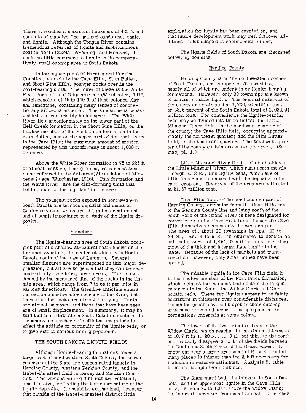There it reaches a maximum thickness of 425 ft and consists of massive fine-grained sandstone, shale, and lignite. Although the Tongue River contains tremendous reserves of lignite and subbituminous coal in North Dakota, Wyoming, and Montana, it contains little commercial lignite in its comparatively small outcrop area in South Dakota.

In the higher parts of Harding and Ferkins Counties, especially the Cave,Hills, Slim Buttes, and Short Fine Hills, younger rocks overlie the coal-bearing units. The lower of these is the White River formation of Oligocene age (Winchester, 1916), which consists of 45 to 140 ft of light-colored clay and sandstone, containing many lenses of concretionary siliceous material. The sandstone is crossbedded to a remarkably high degree. The White River lies unconformably on the lower part of the Hell Creek formation in the Short Fine Hills, on the Ludlow member of the Fort Union formation in the Slim Buttes, and on the upper part of the Fort Union in the Cave Hills; the maximum amount of erosion represented by this unconformity is about 1,000 ft or more.

Above the White River formation is 75 to 225 ft of almost massive, fine-grained, calcareous sandstone referred to the Arikaree(?) sandstone of Miocene(?) age (Winchester, 1916). This formation and the White River are the cliff-forming units that hold up most of the high land in the area.

The youngest rocks exposed in northwestern South Dakota are terrace deposits and dunes of Quaternary age, which are of limited areal extent and of small importance to a study of the lignite deposits.

#### Structure

The lignite-bear ing area of South Dakota occupies part of a shallow structural basin known as the Lemmon syncline, the center of which is in North Dakota north of the town of Lemmon. Several smaller flexures are superimposed on this major depression, but all are so gentle that they can be recognized only over fairly large areas. This is evidenced by the measured dips of the rocks in the lignite area, which range from 7 to 65 ft per mile in various directions. The Glendive anticline enters the extreme northwestern corner of the State, but there also the rocks are almost flat lying. Faults are almost unknown, and those that have been seen are of small displacement. In summary, it may be said that in northwestern South Dakota structural disturbances are nowhere of sufficient magnitude to affect the attitude or continuity of the lignite beds, or to give rise to serious mining problems.

#### THE SOUTH DAKOTA LIGNITE FIELDS

Although lignite-bear ing formations cover a large part of northwestern South Dakota, the known reserves of the State are concentrated largely in Harding County, western Ferkins County, and the Isabel-Firesteel field in Dewey and Ziebach Counties. The various mining districts are relatively small in size, reflecting the lenticular nature of the lignite deposits. It should be emphasized, however, that outside of the Isabel-Firesteel district little

exploration for lignite has been carried on, and that future development work may well discover additional fields adapted to commercial mining.

The lignite fields of South Dakota are discussed below, by counties.

#### Harding County

Harding County is in the northwestern corner of South Dakota, and comprises 76 townships, nearly all of which are underlain by lignite-bear ing formations. However, only 39 townships are known to contain minable lignite. The original reserves of the county are estimated at *I,* 700. 36 million tons, or 83. 6 percent of the South Dakota total of 2,032. 91 million tons. For convenience the lignite-bear ing area may be divided into three fields: the Little Missouri River field, in the northwest quarter of the county; the Cave Hills field, occupying approximately the northeast quarter; and the Slim Buttes field, in the southeast quarter. The southwest quarter of the county contains no known reserves. (See map, pi. 1.)

Little Missouri River field. --On both sides of the Little Missouri River, which runs north mostly through R. 2 E. , thin lignite beds, which are'of little importance compared with the deposits to the east, crop out. Reserves of the area are estimated at 21. 67 million tons.

Cave Hills field. --The northeastern part of Harding County, extending from the Cave Hills east to the Ferkins County line and lying north of the South Fork of the Grand River is here designated for convenience as the Cave Hills field, though the Cave Hills themselves occupy only the western part. The area of . about 20 townships in Tps. 20 to 23 N., Rs. 4 to 9 E. is estimated to contain an original reserve of 1,494. 32 million tons, including most of the thick and intermediate lignite in the State. Because of the lack of markets and transportation, however, only small mines have been opened.

The minable lignite in the Cave Hills field is in the Ludlow member of the Fort Union formation, which includes the two beds that contain the largest reserves in the State--the Widow Clark and Giannonatti beds. These two lignites appear to be fairly consistent in thickness over considerable distances, though the grass-covered slopes in their outcrop area have prevented accurate mapping and make correlations uncertain at some points.

The lower of the two principal beds is the Widow Clark, which reaches its maximum thickness of 10. 7 ft in T. 20 N. , R. 9 E. but thins to the north and probably disappears north of the divide between the North and South Forks of the Grand River. It crops out over a large area west of R. 9 E., but at many places is thinner than the 2. 5 ft necessary for inclusion in reserve estimates. Analysis 5, table 5, is of a sample from this bed.

The Giannonatti bed, the thickest in South Dakota, and the uppermost lignite in the Cave Hills area, is from 20 to 100 ft above the Widow Clark; the interval increases from west to east. It reaches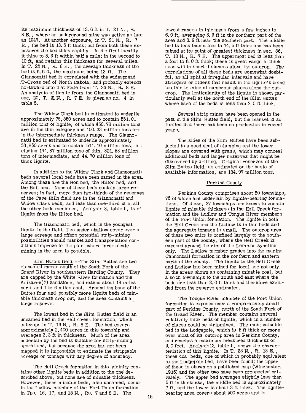its maximum thickness of 13. 6 ft in T. 21 N., R. 8 E., where an underground mine was active as late as 1947. At another exposure, in T. 21 N., R. 7 E., the bed is 13. 5 ft thick; but from both these exposures the bed thins rapidly. In the first locality it thins to 8. 3 ft within half a mile; in the second to 10 ft, and retains this thickness for several miles. In T. 22 N., R. 8 E., the average thickness of the bed is. 6. 6 ft, the maximum being 12 ft. The Giannonatti bed is correlated with the widespread .T-Cross bed of North Dakota, and probably extends northward into that State from T. 23 N., R. 8 E. An analysis of lignite from the Giannonatti bed in sec. 20, T. 21 N., R. 7 E. is given as no. 4 in table 5.

The Widow Clark bed is estimated to underlie approximately 75, 850 acres and to contain 551. 01 million tons of lignite, of which 450. 78 million tons are in the thin category and 100. 23 million tons are in the intermediate thickness range. The Giannonatti bed is estimated to underlie approximately 53,850 acres and to contain 511. 10 million tons, including 144. 87 million tons of thin, 321. 53 million tons of intermediate, and 44. 70 million tons of thick lignite.

In addition to the Widow Clark and Giannonattibeds several local beds have been named in the area. Among these are the Bon bed, the Hilton bed, and the Bell bed. None of these beds contain large reserves; in fact, more than two-thirds of the reserves of the Cave Hills field are in the Giannonatti and Widow Clark beds, and less than one-third is in all the other beds combined. Analysis 3, table 5, is of lignite from the Hilton bed.

The Giannonatti bed, which is the youngest lignite in the field, lies under shallow cover over a large acreage and offers potential strip-mining possibilities should market and transportation conditions improve to the point where large-scale mining in the area is possible.

Slim Buttes field. --The Slim Buttes are two elongated mesas south of the South Fork of the Grand River in southeastern Harding County. They are capped by the White River formation and the Arikaree(?) sandstone, and extend about 18 miles north and 1 to 6 miles east. Around the base of the Buttes four and possibly more lignite beds of minable thickness crop out, and the area contains a large reserve.

The lowest bed in the Slim Buttes field is an unnamed bed in the Hell Creek formation, which outcrops in T. 16 N., R. 8 E. The bed covers approximately 2,400 acres in this township and averages 3. 3 ft in thickness. Much of the area underlain by the bed is suitable for strip-mining operations, but because the area has not been mapped it is impossible to estimate the strippable acreage or tonnage with any degree of accuracy.

The Hell Creek formation in this vicinity contains other lignite beds in addition to the one described above, but none are of minable thickness. However, three minable beds, also unnamed, occur in the Ludlow member of the Fort Union formation in Tps. 16, 17, and 18 N., Rs. 7 and 8 E. The

lowest ranges in thickness from a few inches to 6. 0 ft, averaging 3. 3 .ft in the northern part of the area and 3. 9 ft near the southern part. The middle bed is less than a foot to 14. 5 ft thick and has been mined at its point of greatest thickness in sec. 36, T. 18 N., R. 7 E. The uppermost bed is less than a foot to 6. 0 ft thick; there is great range in thickness within short distances along the outcrop. The correlations of all these beds are somewhat doubtful, as all split at irregular intervals and have stringers or riders that result in the lignite's being too thin to mine at numerous places along the outcrop. The lenticularity of the lignite is shown particularly well at the north end of the Slim Buttes where each of the beds is less than 2. 0 ft thick.

Several strip mines have been opened in the past in the Slim Buttes field, but the market is so limited that there has been no production in recent years.

The sides of the Slim Buttes have been subjected to a good deal of slumping and the lower slopes are covered with grass, which may conceal additional beds and,larger reserves that might be discovered by drilling. Original reserves of the Slim Buttes field, as estimated on the basis of available information, are 184. 97 million tons.

#### Ferkins County

Ferkins County comprises about 80 townships, 75 of which are underlain by lignite-bear ing formations. Of these, 27 townships are known to contain lignite of minable thickness in the Hell Creek formation and the Ludlow and Tongue River members of the Fort Union formation. The lignite in both the Hell Creek and the Ludlow is in thin beds and the aggregate tonnage is small. The outcrop area of these two units is confined largely to the southern part of the county, where the Hell Creek is exposed around the rim of the Lemmon syncline only. The Ludlow member grades into the marine Cannonball formation in the northern and eastern parts of the county. The lignite in the Hell Creek and Ludlow has been mined for local use not only in the areas shown as containing minable coal, but also in townships to the south and east where the beds are less than 2. 0 ft thick and therefore excluded from the reserve estimates.

The Tongue River member of the Fort Union formation is exposed over a comparatively small part of Ferkins County, north of the South Fork of the Grand River. The member contains several relatively thick beds of lignite, which in a number of places could be stripmined. The most valuable bed is the Lodgepole, which is 5 ft thick or more over most of its outcrop area in Perkins County, and reaches a maximum measured thickness of 9. 0 feet. Analysis 12, table 5, shows the characteristics of this lignite. In T. 23 N., R. 13 E., three coal beds, one of which is probably equivalent to the Lodgepole bed, have been found; the upper of these is shown on a published map (Winchester, 1916) and the other two have been prospected privately. The upper bed averages slightly less than 5 ft in thickness, the middle bed is approximately 7 ft, and the lower is about 3 ft thick. The lignitebearing area covers about 500 acres and is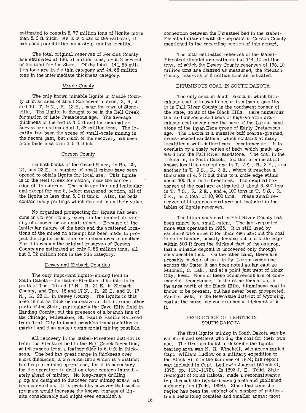estimated to contain 5.77 million tons of lignite more than 5. 0 ft thick. As it is close to the railroad, it has good possibilities as a strip-mining locality.

The total original reserves of Ferkins County are estimated at 186. 51 million tons, or 9. 2 percent of the total for the State. Of the total, 141. 85 million tons are in the thin category and 44. 66 million tons in the intermediate thickness category.

#### Meade County

The only known minable lignite in Meade County is in an area of about  $255$  acres in secs. 3, 4, 9, and 10, T. 9 N., R. 12 E., near the town of Stoneville. The lignite is thought to be in the Hell Creek formation of Late Cretaceous age. The average thickness of the bed is 3. 5 ft and the original reserves are estimated at 1. 38 million tons. The locality has been the scene of small-scale mining in the recent past, but much of the recovery has been from beds less than 2. 5 ft thick.

#### Corson County

On both banks of the Grand River, in Rs. 20, 21, and 22 E., a number of small mines have been opened to obtain lignite for local use. This lignite is in the Hell Creek formation, near the eastern edge of its outcrop. The beds are thin and lenticular; and except for one 5. 5-foot measured section, all of the lignite is less than 5. 0 ft thick. Also, the beds contain many partings which detract from their value.

No organized prospecting for lignite has been done in Corson County except in the immediate vicinity of a dozen or so small mines. Because of the lenticular nature of the beds and the scattered locations of the mines no attempt has been made to project the lignite beds from one mined area to another. For this reason the original reserves of Corson County are estimated at only 0. 56 million tons, all but 0. 02 million tons in the thin category.

#### Dewey and Ziebach Counties

The only important lignite-mining field in South Dakota--the Isabel-Firesteel district--is in parts of Tps. 16 and 17 N., R. 21 E. in Ziebach County, and Tps. 16 and 17 N., R. 22 E. and T. 17 N., R. 23 E. in Dewey County. The lignite in this area is not as thick or extensive as that in some other parts of .the State, particularly the Cave Hills field in Harding County; but the presence of a branch line of the Chicago, Milwaukee, St. Paul & Pacific Railroad from Trail City to Isabel provides transportation to market and thus makes commercial mining possible.

All recovery in the Isabel-Firesteel district is from the Firesteel bed in the Hell Creek formation, which ranges from a feather  $\epsilon$ dge to 6.0 ft in thickness. The bed has great range in thickness over short distances, a characteristic which is a distinct handicap to mining operations, for it is necessary for the operators to drill on close centers immedi ately ahead of mining. No long-range drilling program designed to discover new mining areas has been carried on. It is probable, however, that such a program would increase the known tonnage of lignite considerably and might even establish a

connection between the Firesteel bed in the Isabel-Firesteel district with the deposits in Corson County mentioned in the preceding section of this report.

The total estimated reserves of the Isabel-Firesteel district are estimated at 144. 10 million tons, of which the Dewey County reserves of 138. 10 million tons are classed as measured, the Ziebach County reserves of 6 million tons as indicated.

#### BITUMINOUS COAL IN SOUTH DAKOTA

The only area in South Dakota in which bituminous coal is known to occur in minable quantity is in Fall River County in the southwest corner of the State, south of the Black Hills. Here numerous thin and disconnected beds of high-volatile bituminous coal, occur near the base of the Lakota sandstone of the Inyan Kara group of Early Cretaceous age. The Lakota is a massive buff coarse-grained, cross-bedded sandstone, which contains at many localities a well-defined basal conglomerate. It is overlain by a shaly series of beds which grade upward into the Fall River sandstone. The coal in the Lakota is, in South Dakota, too thin to mine at all known localities except one in T. 7 S., R. 2 E. , and another in T. 9 S. , R. 3 E. , where it reaches a thickness of 4. 5 ft but thins to a knife edge within about 300 ft in both directions. The original reserves of the coal are estimated at about 6,800 tons in T. 7 S., R. 2 E. , and 4,100 tons in T. 9 S. , R. 3 E., or a total of 10,900 tons. These small reserves of bituminous coal are not included in the tables of lignite reserves.

The bituminous coal in Fall River County has been mined to a small extent. The last-reported mine was operated in 1935. It is still used by ranchers who mine it for their own use; but the coal is so lenticular, usually lensing out to a knife edge within 500 ft from the thickest part of the outcrop, that a minable deposit is uncovered only through considerable luck. On the other hand, there are probably pockets of coal in the Lakota sandstone across the State; it has been noted as far east as Mitchell, S. Dak., and at a point just west of Sioux City, Iowa. None of these occurrences are of commercial importance. In the same formation, in the area north of the Black Hills, bituminous coal is known to be present, but has never been prospected. Farther west, in the Newcastle district of Wyoming, coal at the same horizon reaches a thickness of 9 ft.

#### PRODUCTION OF LIGNITE IN SOUTH DAKOTA

The first lignite mining in South Dakota was by ranchers and settlers who dug the coal for their own use. The first geologist to describe the lignitebearing area was N. H. Winchell, who accompanied Capt. William Ludlow on a military expedition to the Black Hills in the summer of 1874; his report was included in Capt. Ludlow's Journal (Winchell, 1875, pp. 1131-1172). In 1893 J. E. Todd, State Geologist of South Dakota, made a reconnaissance trip through the lignite-bear ing area and published a description (Todd, 1898). Since that time the region has been the subject of a number of publications describing counties and smaller areas; most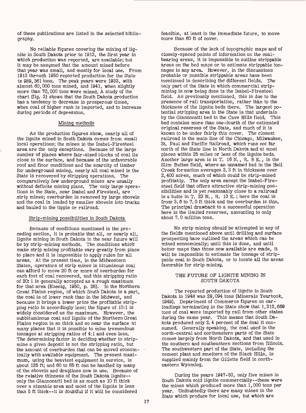of these publications are listed in the selected bibliography.

No reliable figures covering the mining of lignite in South Dakota prior to 1913, the first year in which production was reported, are available; but it may be assumed that the amount mined before that year was small, and mostly for local use. From 1913 through 1950 reported production for the State is 989, 361 tons. The peak years were 1933, with almost 60,000 tons mined, and 1941, when slightly more than 70,000 tons were mined. A study of the chart (fig. 3) shows that the South Dakota production has a tendency to decrease in prosperous times, when coal of higher rank is imported, and to increase during periods of depression.

#### Mining methods

As the production figures show, nearly all of the lignite mined in South Dakota comes from small local operations; the mines in the Isabel-Firesteel area are the only exceptions. Because of the large number of places where fair-sized blocks of coal lie close to the surface, and because of the unfavorable roof and floor conditions and the scarcity of timber for underground mining, nearly all coal mined in the State is recovered by stripping operations. The comparatively few underground mines are usually without definite mining plans. The only large operations in the State, near Isabel and Firesteel, are strip mines; overburden is removed by large shovels and the coal is loaded by smaller shovels into trucks and hauled to the tipple or railroad.

#### Strip-mining possibilities in South Dakota

Because of conditions mentioned in the preceding section, it is probable that all, or nearly all, lignite mining in South Dakota in the near future will be by strip-mining methods. The conditions which make strip mining profitable vary greatly from place to place and it is impossible to apply rules for all areas. At the present time, in the Midwestern States, operators of strip mines in bituminous coal can afford to move 20 ft or more of overburden for each foot of coal recovered, and this stripping ratio of 20: 1 is generally accepted as a rough maximum for that area (Koenig, 1950, p. 28). In the Northern Great Plains region, of which South Dakota is a part, the coal is of lower rank than in the Midwest, and because it brings a lower price the profitable stripping ratio is accordingly less; the figure of 10:1 is widely considered as the maximum. However, the subbituminous coal and lignite of the Northern Great Plains region is so thick and so near the surface at many places that it is possible to mine tremendous tonnages at stripping ratios of 4:1 and even less. The determining factor in deciding whether to stripmine a given deposit is not the stripping ratio, but the amount of overburden that can be moved economically with available equipment. The present maximum, using the heaviest equipment in service, is about 125 ft; and 60 to 65 ft can be handled by many of the shovels and draglines now in use. Because of the relative thinness of the South Dakota ligniteonly the Giannonatti bed is as much as 10 ft thick over a sizeable area and most of the lignite is less than 5 ft thick--it is doubtful if it will be considered

feasible, at least in the immediate future, to move more than 60 ft of cover.

Because of the lack of topographic maps and of closely-spaced points of information on the coalbearing areas, it is impossible to outline strippable areas on the bed maps or to estimate strippable tonnages in any area. However, in the discussions probable or possible strippable areas have been mentioned in describing the different fields. The only part of the State in which commercial stripmining is now being done is the Isabel-Firesteel field. As previously mentioned, this is due to the presence of rail transportation, rather than to the thickness of the lignite beds there. The largest potential stripping area in the State is that underlain by the Giannonatti bed in the Cave Hills field. This bed contains more than one-fourth of the estimated original reserves of the State, and much of it is known to be under fairly thin cover. The closest railroad is the main line of the Chicago, Milwaukee, St. Paul and Pacific Railroad, which runs not far north of the State line in North Dakota and at most places within 25 miles or less of the lignite beds. Another large area is in T. 16 N. , R. 8 E., in the Slim Buttes field, where an unnamed bed in the Hell Creek formation averages 3. 3 ft in thickness over 2,400 acres, much of which could be strip-mined profitably. The only area except the Isabel-Firesteel field that offers attractive strip-mining possibilities and is yet reasonably close to a railroad is a butte in T. 23 N., R. 13 E. ; here the coal is from 3. 6 to 7. 0 ft thick and the overburden is thin. The principal drawback to a successful operation here is the limited reserves, amounting to only about 7. 0 million tons.

No strip mining should be attempted in any of the fields mentioned above until drilling and surface prospecting have outlined the areas which can be mined economically; until this is done, and until better maps than those now available are made, it will be impossible to estimate the tonnage of strippable coal in South Dakota, or to locate all the areas favorable for strip mining.

#### THE FUTURE OF LIGNITE MINING IN SOUTH DAKOTA

The reported production of lignite in South Dakota in 1948 was 29,094 tons (Minerals Yearbook, 1949). Department of Commerce figures on carloadings terminating in the State show that 1,212,669 tons of coal were imported by rail from other states during the same year. This means that South Dakota produced only 2. 4 percent of the doal it consumed. Generally speaking, the coal used in the north-central and northeastern parts of the State comes largely from North Dakota, and that used in the southern and southeastern sections from Illinois. The southwestern part of the State, including the cement plant and smelters of the Black Hills, is supplied mainly from the Gillette field in northeastern Wyoming.

During the years 1947-50, only five mines in South Dakota sold lignite commercially--these were the mines which produced more than 1,000 tons per year. Undoubtedly there are many mines in the State which produce for local use, but which are